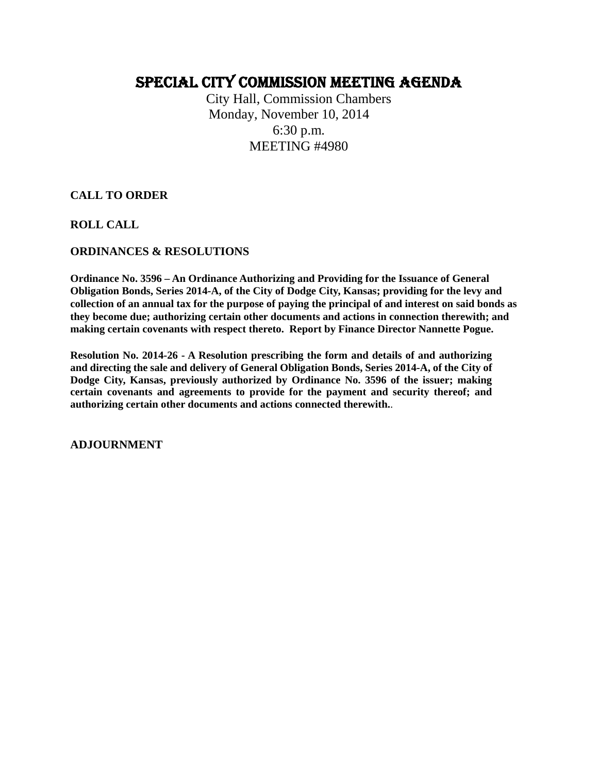# SPECIAL CITY COMMISSION MEETING AGENDA

City Hall, Commission Chambers Monday, November 10, 2014 6:30 p.m. MEETING #4980

**CALL TO ORDER**

**ROLL CALL** 

# **ORDINANCES & RESOLUTIONS**

**Ordinance No. 3596 – An Ordinance Authorizing and Providing for the Issuance of General Obligation Bonds, Series 2014-A, of the City of Dodge City, Kansas; providing for the levy and collection of an annual tax for the purpose of paying the principal of and interest on said bonds as they become due; authorizing certain other documents and actions in connection therewith; and making certain covenants with respect thereto. Report by Finance Director Nannette Pogue.**

**Resolution No. 2014-26 - A Resolution prescribing the form and details of and authorizing and directing the sale and delivery of General Obligation Bonds, Series 2014-A, of the City of Dodge City, Kansas, previously authorized by Ordinance No. 3596 of the issuer; making certain covenants and agreements to provide for the payment and security thereof; and authorizing certain other documents and actions connected therewith.**.

**ADJOURNMENT**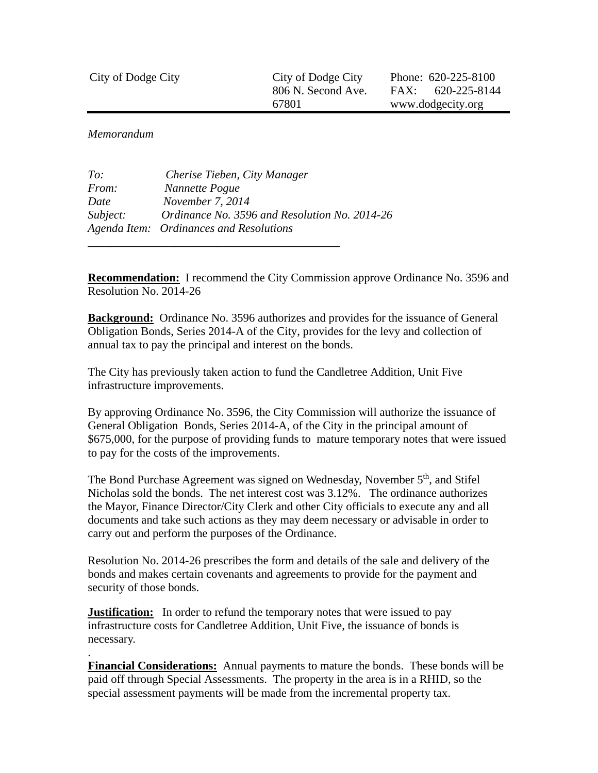| City of Dodge City | City of Dodge City | Phone: 620-225-8100 |
|--------------------|--------------------|---------------------|
|                    | 806 N. Second Ave. | $FAX: 620-225-8144$ |
|                    | 67801              | www.dodgecity.org   |

*Memorandum* 

.

| To:          | Cherise Tieben, City Manager                  |
|--------------|-----------------------------------------------|
| <i>From:</i> | Nannette Pogue                                |
| Date         | November 7, 2014                              |
| Subject:     | Ordinance No. 3596 and Resolution No. 2014-26 |
|              | Agenda Item: Ordinances and Resolutions       |
|              |                                               |

**Recommendation:** I recommend the City Commission approve Ordinance No. 3596 and Resolution No. 2014-26

**Background:** Ordinance No. 3596 authorizes and provides for the issuance of General Obligation Bonds, Series 2014-A of the City, provides for the levy and collection of annual tax to pay the principal and interest on the bonds.

The City has previously taken action to fund the Candletree Addition, Unit Five infrastructure improvements.

By approving Ordinance No. 3596, the City Commission will authorize the issuance of General Obligation Bonds, Series 2014-A, of the City in the principal amount of \$675,000, for the purpose of providing funds to mature temporary notes that were issued to pay for the costs of the improvements.

The Bond Purchase Agreement was signed on Wednesday, November 5<sup>th</sup>, and Stifel Nicholas sold the bonds. The net interest cost was 3.12%. The ordinance authorizes the Mayor, Finance Director/City Clerk and other City officials to execute any and all documents and take such actions as they may deem necessary or advisable in order to carry out and perform the purposes of the Ordinance.

Resolution No. 2014-26 prescribes the form and details of the sale and delivery of the bonds and makes certain covenants and agreements to provide for the payment and security of those bonds.

**Justification:** In order to refund the temporary notes that were issued to pay infrastructure costs for Candletree Addition, Unit Five, the issuance of bonds is necessary.

**Financial Considerations:** Annual payments to mature the bonds. These bonds will be paid off through Special Assessments. The property in the area is in a RHID, so the special assessment payments will be made from the incremental property tax.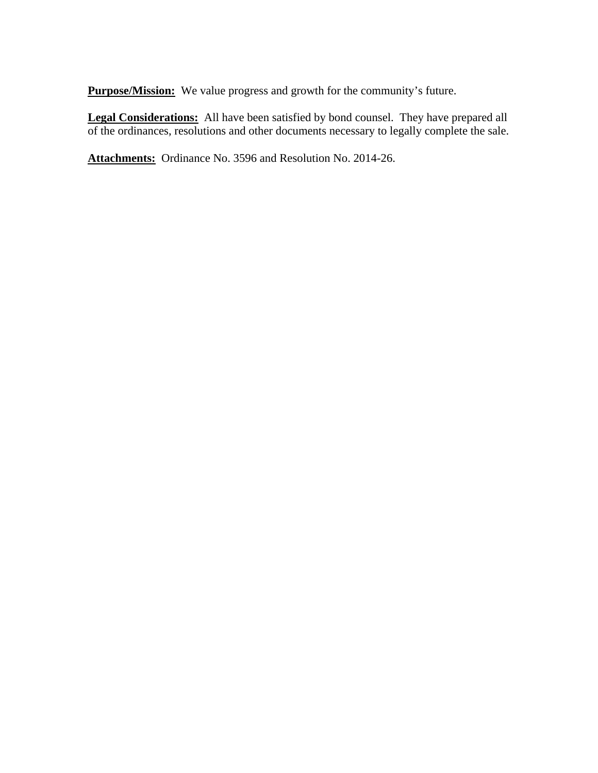**Purpose/Mission:** We value progress and growth for the community's future.

**Legal Considerations:** All have been satisfied by bond counsel. They have prepared all of the ordinances, resolutions and other documents necessary to legally complete the sale.

**Attachments:** Ordinance No. 3596 and Resolution No. 2014-26.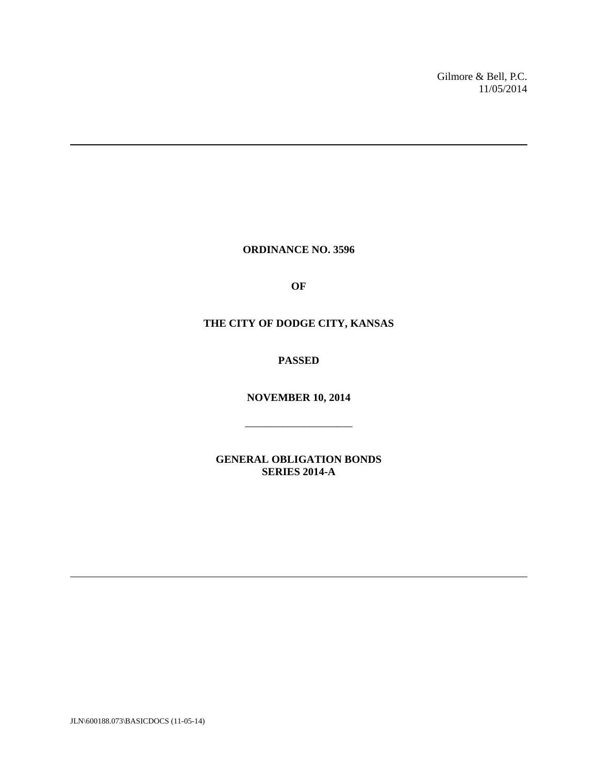Gilmore & Bell, P.C. 11/05/2014

**ORDINANCE NO. 3596** 

**OF** 

# **THE CITY OF DODGE CITY, KANSAS**

**PASSED** 

**NOVEMBER 10, 2014** 

\_\_\_\_\_\_\_\_\_\_\_\_\_\_\_\_\_\_\_\_

**GENERAL OBLIGATION BONDS SERIES 2014-A** 

JLN\600188.073\BASICDOCS (11-05-14)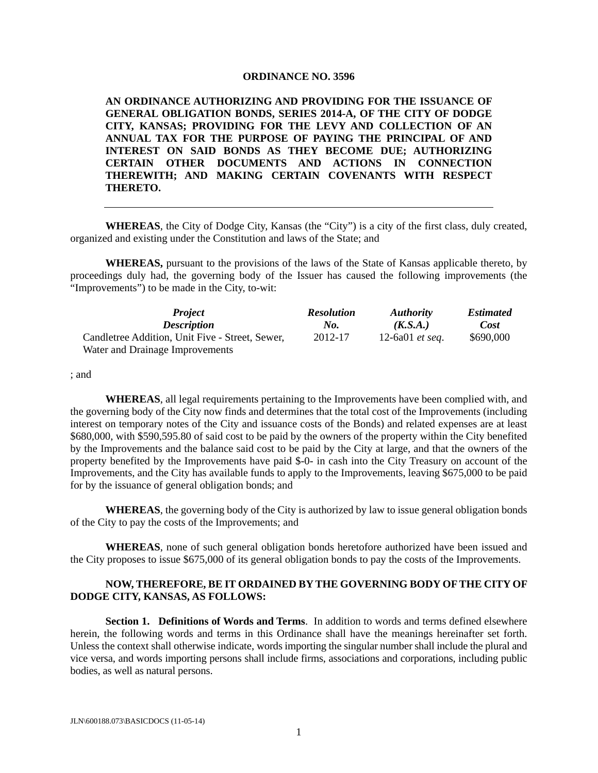#### **ORDINANCE NO. 3596**

**AN ORDINANCE AUTHORIZING AND PROVIDING FOR THE ISSUANCE OF GENERAL OBLIGATION BONDS, SERIES 2014-A, OF THE CITY OF DODGE CITY, KANSAS; PROVIDING FOR THE LEVY AND COLLECTION OF AN ANNUAL TAX FOR THE PURPOSE OF PAYING THE PRINCIPAL OF AND INTEREST ON SAID BONDS AS THEY BECOME DUE; AUTHORIZING CERTAIN OTHER DOCUMENTS AND ACTIONS IN CONNECTION THEREWITH; AND MAKING CERTAIN COVENANTS WITH RESPECT THERETO.** 

**WHEREAS**, the City of Dodge City, Kansas (the "City") is a city of the first class, duly created, organized and existing under the Constitution and laws of the State; and

**WHEREAS,** pursuant to the provisions of the laws of the State of Kansas applicable thereto, by proceedings duly had, the governing body of the Issuer has caused the following improvements (the "Improvements") to be made in the City, to-wit:

| <b>Project</b>                                  | <b>Resolution</b> | <b>Authority</b>       | <b>Estimated</b> |  |
|-------------------------------------------------|-------------------|------------------------|------------------|--|
| <b>Description</b>                              | No.               | (K.S.A.)               | <b>Cost</b>      |  |
| Candletree Addition, Unit Five - Street, Sewer, | 2012-17           | 12-6a01 <i>et seq.</i> | \$690,000        |  |
| Water and Drainage Improvements                 |                   |                        |                  |  |

; and

**WHEREAS**, all legal requirements pertaining to the Improvements have been complied with, and the governing body of the City now finds and determines that the total cost of the Improvements (including interest on temporary notes of the City and issuance costs of the Bonds) and related expenses are at least \$680,000, with \$590,595.80 of said cost to be paid by the owners of the property within the City benefited by the Improvements and the balance said cost to be paid by the City at large, and that the owners of the property benefited by the Improvements have paid \$-0- in cash into the City Treasury on account of the Improvements, and the City has available funds to apply to the Improvements, leaving \$675,000 to be paid for by the issuance of general obligation bonds; and

**WHEREAS**, the governing body of the City is authorized by law to issue general obligation bonds of the City to pay the costs of the Improvements; and

**WHEREAS**, none of such general obligation bonds heretofore authorized have been issued and the City proposes to issue \$675,000 of its general obligation bonds to pay the costs of the Improvements.

#### **NOW, THEREFORE, BE IT ORDAINED BY THE GOVERNING BODY OF THE CITY OF DODGE CITY, KANSAS, AS FOLLOWS:**

**Section 1. Definitions of Words and Terms**. In addition to words and terms defined elsewhere herein, the following words and terms in this Ordinance shall have the meanings hereinafter set forth. Unless the context shall otherwise indicate, words importing the singular number shall include the plural and vice versa, and words importing persons shall include firms, associations and corporations, including public bodies, as well as natural persons.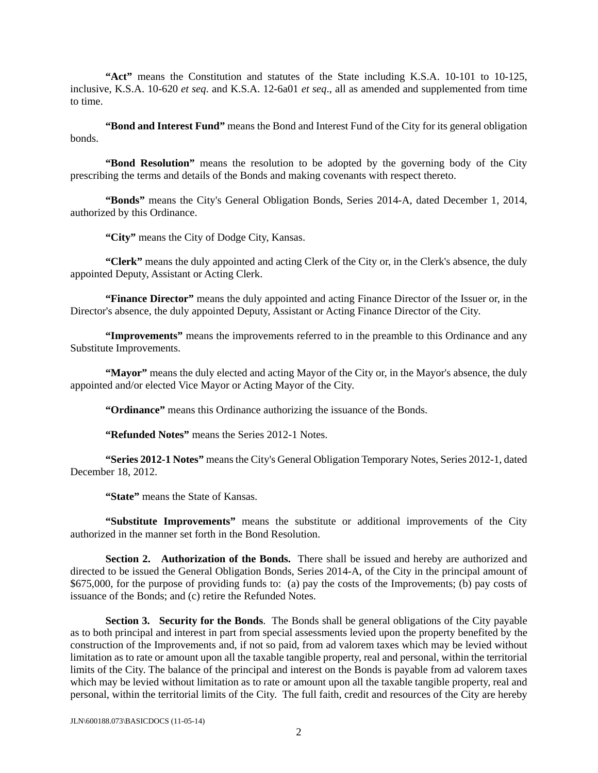**"Act"** means the Constitution and statutes of the State including K.S.A. 10-101 to 10-125, inclusive, K.S.A. 10-620 *et seq*. and K.S.A. 12-6a01 *et seq*., all as amended and supplemented from time to time.

**"Bond and Interest Fund"** means the Bond and Interest Fund of the City for its general obligation bonds.

**"Bond Resolution"** means the resolution to be adopted by the governing body of the City prescribing the terms and details of the Bonds and making covenants with respect thereto.

**"Bonds"** means the City's General Obligation Bonds, Series 2014-A, dated December 1, 2014, authorized by this Ordinance.

 **"City"** means the City of Dodge City, Kansas.

 **"Clerk"** means the duly appointed and acting Clerk of the City or, in the Clerk's absence, the duly appointed Deputy, Assistant or Acting Clerk.

 **"Finance Director"** means the duly appointed and acting Finance Director of the Issuer or, in the Director's absence, the duly appointed Deputy, Assistant or Acting Finance Director of the City.

 **"Improvements"** means the improvements referred to in the preamble to this Ordinance and any Substitute Improvements.

**"Mayor"** means the duly elected and acting Mayor of the City or, in the Mayor's absence, the duly appointed and/or elected Vice Mayor or Acting Mayor of the City.

**"Ordinance"** means this Ordinance authorizing the issuance of the Bonds.

**"Refunded Notes"** means the Series 2012-1 Notes.

 **"Series 2012-1 Notes"** means the City's General Obligation Temporary Notes, Series 2012-1, dated December 18, 2012.

 **"State"** means the State of Kansas.

**"Substitute Improvements"** means the substitute or additional improvements of the City authorized in the manner set forth in the Bond Resolution.

 **Section 2. Authorization of the Bonds.** There shall be issued and hereby are authorized and directed to be issued the General Obligation Bonds, Series 2014-A, of the City in the principal amount of \$675,000, for the purpose of providing funds to: (a) pay the costs of the Improvements; (b) pay costs of issuance of the Bonds; and (c) retire the Refunded Notes.

**Section 3. Security for the Bonds**. The Bonds shall be general obligations of the City payable as to both principal and interest in part from special assessments levied upon the property benefited by the construction of the Improvements and, if not so paid, from ad valorem taxes which may be levied without limitation as to rate or amount upon all the taxable tangible property, real and personal, within the territorial limits of the City. The balance of the principal and interest on the Bonds is payable from ad valorem taxes which may be levied without limitation as to rate or amount upon all the taxable tangible property, real and personal, within the territorial limits of the City. The full faith, credit and resources of the City are hereby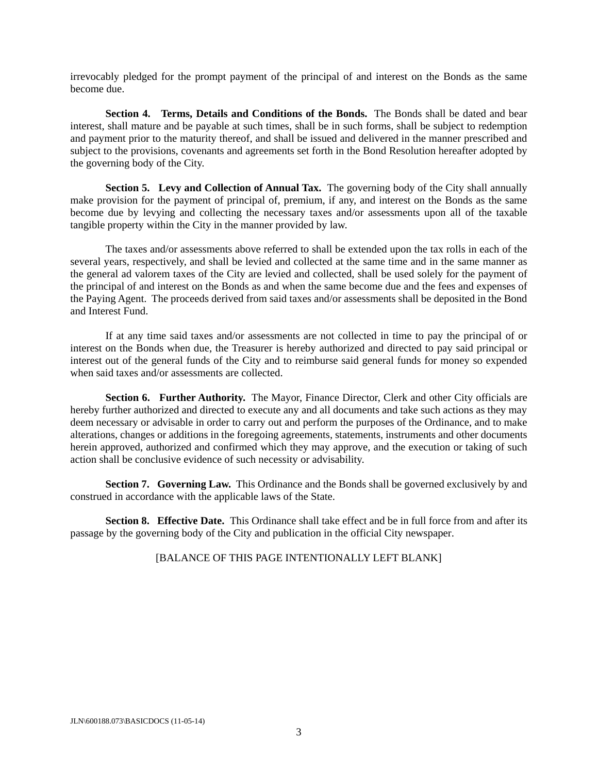irrevocably pledged for the prompt payment of the principal of and interest on the Bonds as the same become due.

**Section 4. Terms, Details and Conditions of the Bonds.** The Bonds shall be dated and bear interest, shall mature and be payable at such times, shall be in such forms, shall be subject to redemption and payment prior to the maturity thereof, and shall be issued and delivered in the manner prescribed and subject to the provisions, covenants and agreements set forth in the Bond Resolution hereafter adopted by the governing body of the City.

**Section 5. Levy and Collection of Annual Tax.** The governing body of the City shall annually make provision for the payment of principal of, premium, if any, and interest on the Bonds as the same become due by levying and collecting the necessary taxes and/or assessments upon all of the taxable tangible property within the City in the manner provided by law.

 The taxes and/or assessments above referred to shall be extended upon the tax rolls in each of the several years, respectively, and shall be levied and collected at the same time and in the same manner as the general ad valorem taxes of the City are levied and collected, shall be used solely for the payment of the principal of and interest on the Bonds as and when the same become due and the fees and expenses of the Paying Agent. The proceeds derived from said taxes and/or assessments shall be deposited in the Bond and Interest Fund.

 If at any time said taxes and/or assessments are not collected in time to pay the principal of or interest on the Bonds when due, the Treasurer is hereby authorized and directed to pay said principal or interest out of the general funds of the City and to reimburse said general funds for money so expended when said taxes and/or assessments are collected.

 **Section 6. Further Authority.** The Mayor, Finance Director, Clerk and other City officials are hereby further authorized and directed to execute any and all documents and take such actions as they may deem necessary or advisable in order to carry out and perform the purposes of the Ordinance, and to make alterations, changes or additions in the foregoing agreements, statements, instruments and other documents herein approved, authorized and confirmed which they may approve, and the execution or taking of such action shall be conclusive evidence of such necessity or advisability.

**Section 7. Governing Law.** This Ordinance and the Bonds shall be governed exclusively by and construed in accordance with the applicable laws of the State.

**Section 8. Effective Date.** This Ordinance shall take effect and be in full force from and after its passage by the governing body of the City and publication in the official City newspaper.

### [BALANCE OF THIS PAGE INTENTIONALLY LEFT BLANK]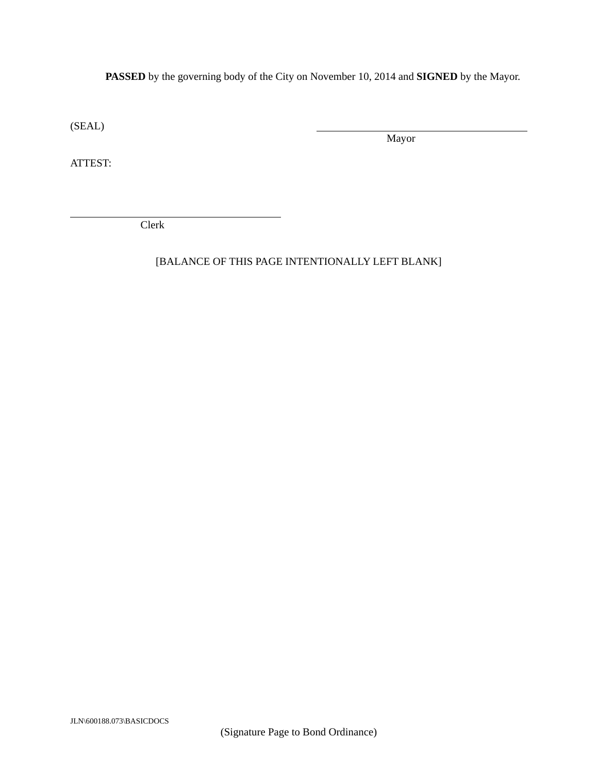**PASSED** by the governing body of the City on November 10, 2014 and **SIGNED** by the Mayor.

(SEAL)

Mayor

ATTEST:

l

Clerk

[BALANCE OF THIS PAGE INTENTIONALLY LEFT BLANK]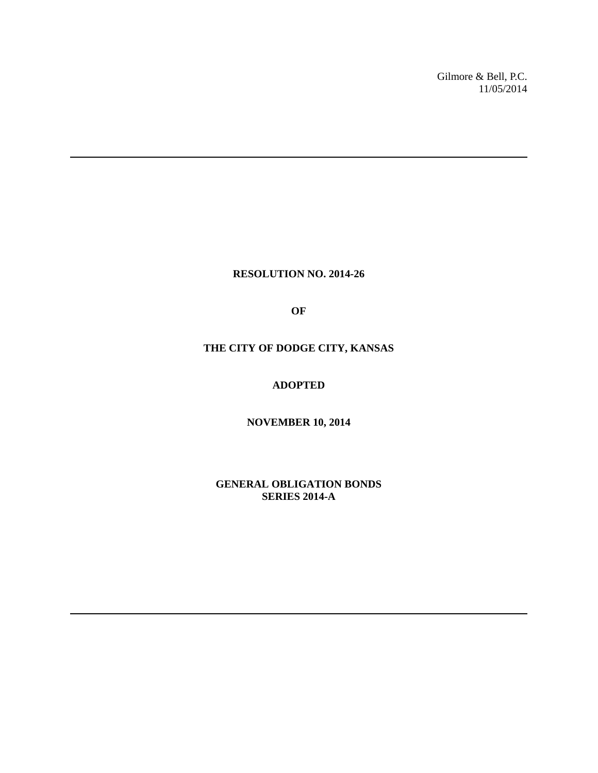Gilmore & Bell, P.C. 11/05/2014

**RESOLUTION NO. 2014-26** 

**OF** 

# **THE CITY OF DODGE CITY, KANSAS**

#### **ADOPTED**

**NOVEMBER 10, 2014** 

**GENERAL OBLIGATION BONDS SERIES 2014-A**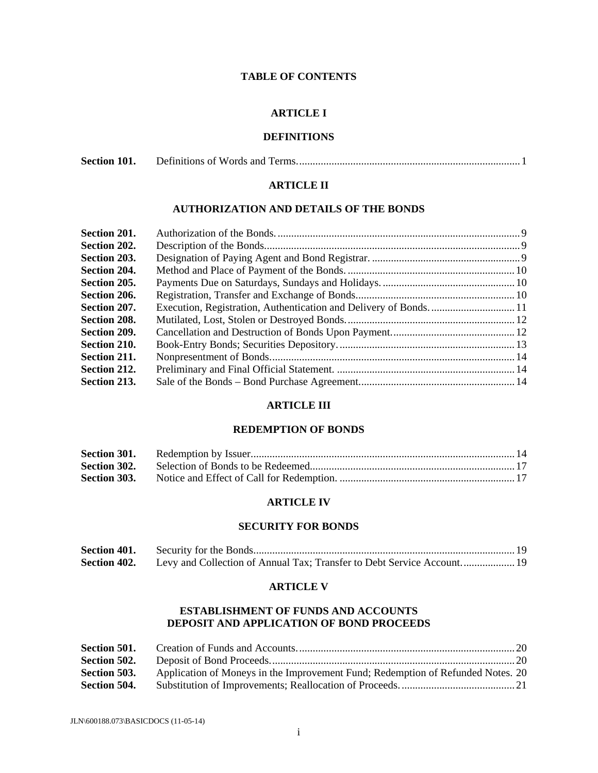### **TABLE OF CONTENTS**

# **ARTICLE I**

# **DEFINITIONS**

| Section 101. |  |  |
|--------------|--|--|
|--------------|--|--|

#### **ARTICLE II**

# **AUTHORIZATION AND DETAILS OF THE BONDS**

| Execution, Registration, Authentication and Delivery of Bonds.  11 |
|--------------------------------------------------------------------|

#### **ARTICLE III**

### **REDEMPTION OF BONDS**

| Section 301. |  |
|--------------|--|
|              |  |
| Section 303. |  |

#### **ARTICLE IV**

### **SECURITY FOR BONDS**

| Section 401. |                                                                        |  |
|--------------|------------------------------------------------------------------------|--|
| Section 402. | Levy and Collection of Annual Tax; Transfer to Debt Service Account 19 |  |

### **ARTICLE V**

# **ESTABLISHMENT OF FUNDS AND ACCOUNTS DEPOSIT AND APPLICATION OF BOND PROCEEDS**

| Section 501. |                                                                                 |  |
|--------------|---------------------------------------------------------------------------------|--|
| Section 502. |                                                                                 |  |
| Section 503. | Application of Moneys in the Improvement Fund; Redemption of Refunded Notes. 20 |  |
| Section 504. |                                                                                 |  |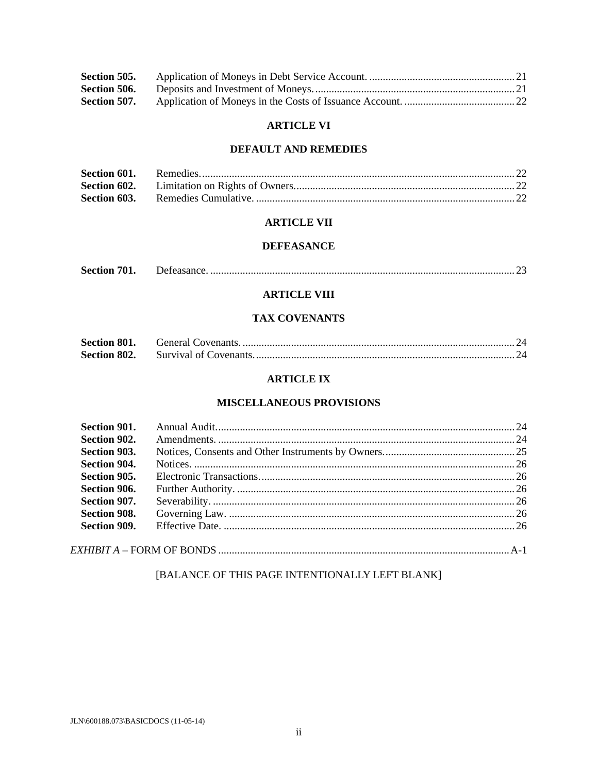| Section 505. |  |
|--------------|--|
|              |  |
| Section 507. |  |

#### **ARTICLE VI**

#### **DEFAULT AND REMEDIES**

#### **ARTICLE VII**

#### **DEFEASANCE**

| Section 701. |  |  |  |
|--------------|--|--|--|
|--------------|--|--|--|

### **ARTICLE VIII**

# **TAX COVENANTS**

| Section 801. |  |
|--------------|--|
|              |  |

### **ARTICLE IX**

### **MISCELLANEOUS PROVISIONS**

| Section 902.        |  |
|---------------------|--|
| Section 903.        |  |
| Section 904.        |  |
| Section 905.        |  |
| Section 906.        |  |
| Section 907.        |  |
| <b>Section 908.</b> |  |
|                     |  |
|                     |  |

# [BALANCE OF THIS PAGE INTENTIONALLY LEFT BLANK]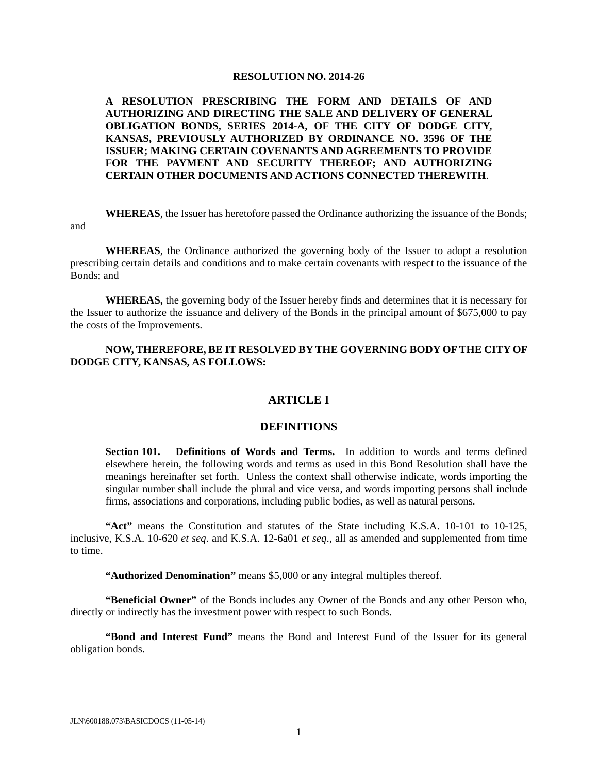#### **RESOLUTION NO. 2014-26**

### **A RESOLUTION PRESCRIBING THE FORM AND DETAILS OF AND AUTHORIZING AND DIRECTING THE SALE AND DELIVERY OF GENERAL OBLIGATION BONDS, SERIES 2014-A, OF THE CITY OF DODGE CITY, KANSAS, PREVIOUSLY AUTHORIZED BY ORDINANCE NO. 3596 OF THE ISSUER; MAKING CERTAIN COVENANTS AND AGREEMENTS TO PROVIDE FOR THE PAYMENT AND SECURITY THEREOF; AND AUTHORIZING CERTAIN OTHER DOCUMENTS AND ACTIONS CONNECTED THEREWITH**.

**WHEREAS**, the Issuer has heretofore passed the Ordinance authorizing the issuance of the Bonds; and

**WHEREAS**, the Ordinance authorized the governing body of the Issuer to adopt a resolution prescribing certain details and conditions and to make certain covenants with respect to the issuance of the Bonds; and

**WHEREAS,** the governing body of the Issuer hereby finds and determines that it is necessary for the Issuer to authorize the issuance and delivery of the Bonds in the principal amount of \$675,000 to pay the costs of the Improvements.

### **NOW, THEREFORE, BE IT RESOLVED BY THE GOVERNING BODY OF THE CITY OF DODGE CITY, KANSAS, AS FOLLOWS:**

### **ARTICLE I**

#### **DEFINITIONS**

**Section 101. Definitions of Words and Terms.** In addition to words and terms defined elsewhere herein, the following words and terms as used in this Bond Resolution shall have the meanings hereinafter set forth. Unless the context shall otherwise indicate, words importing the singular number shall include the plural and vice versa, and words importing persons shall include firms, associations and corporations, including public bodies, as well as natural persons.

 **"Act"** means the Constitution and statutes of the State including K.S.A. 10-101 to 10-125, inclusive, K.S.A. 10-620 *et seq*. and K.S.A. 12-6a01 *et seq*., all as amended and supplemented from time to time.

**"Authorized Denomination"** means \$5,000 or any integral multiples thereof.

**"Beneficial Owner"** of the Bonds includes any Owner of the Bonds and any other Person who, directly or indirectly has the investment power with respect to such Bonds.

**"Bond and Interest Fund"** means the Bond and Interest Fund of the Issuer for its general obligation bonds.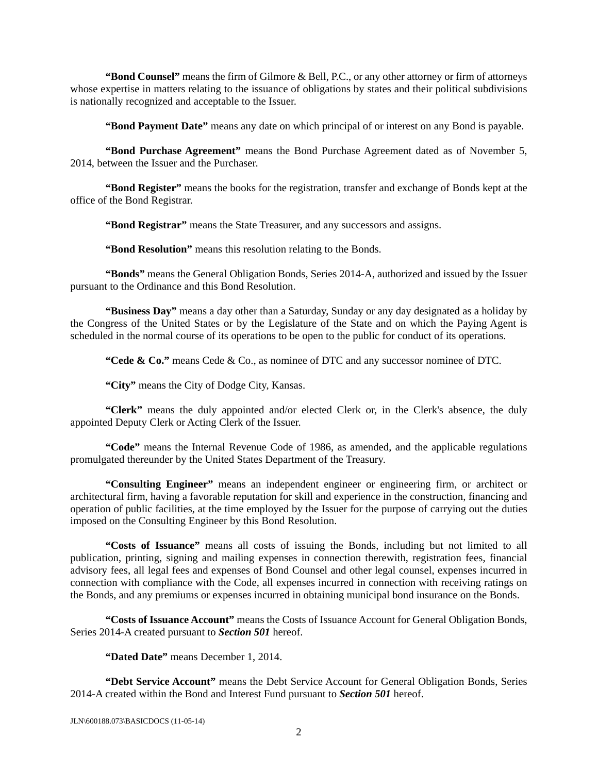**"Bond Counsel"** means the firm of Gilmore & Bell, P.C., or any other attorney or firm of attorneys whose expertise in matters relating to the issuance of obligations by states and their political subdivisions is nationally recognized and acceptable to the Issuer.

 **"Bond Payment Date"** means any date on which principal of or interest on any Bond is payable.

**"Bond Purchase Agreement"** means the Bond Purchase Agreement dated as of November 5, 2014, between the Issuer and the Purchaser.

 **"Bond Register"** means the books for the registration, transfer and exchange of Bonds kept at the office of the Bond Registrar.

**"Bond Registrar"** means the State Treasurer, and any successors and assigns.

 **"Bond Resolution"** means this resolution relating to the Bonds.

 **"Bonds"** means the General Obligation Bonds, Series 2014-A, authorized and issued by the Issuer pursuant to the Ordinance and this Bond Resolution.

**"Business Day"** means a day other than a Saturday, Sunday or any day designated as a holiday by the Congress of the United States or by the Legislature of the State and on which the Paying Agent is scheduled in the normal course of its operations to be open to the public for conduct of its operations.

**"Cede & Co."** means Cede & Co., as nominee of DTC and any successor nominee of DTC.

**"City"** means the City of Dodge City, Kansas.

**"Clerk"** means the duly appointed and/or elected Clerk or, in the Clerk's absence, the duly appointed Deputy Clerk or Acting Clerk of the Issuer.

**"Code"** means the Internal Revenue Code of 1986, as amended, and the applicable regulations promulgated thereunder by the United States Department of the Treasury.

**"Consulting Engineer"** means an independent engineer or engineering firm, or architect or architectural firm, having a favorable reputation for skill and experience in the construction, financing and operation of public facilities, at the time employed by the Issuer for the purpose of carrying out the duties imposed on the Consulting Engineer by this Bond Resolution.

 **"Costs of Issuance"** means all costs of issuing the Bonds, including but not limited to all publication, printing, signing and mailing expenses in connection therewith, registration fees, financial advisory fees, all legal fees and expenses of Bond Counsel and other legal counsel, expenses incurred in connection with compliance with the Code, all expenses incurred in connection with receiving ratings on the Bonds, and any premiums or expenses incurred in obtaining municipal bond insurance on the Bonds.

**"Costs of Issuance Account"** means the Costs of Issuance Account for General Obligation Bonds, Series 2014-A created pursuant to *Section 501* hereof.

**"Dated Date"** means December 1, 2014.

**"Debt Service Account"** means the Debt Service Account for General Obligation Bonds, Series 2014-A created within the Bond and Interest Fund pursuant to *Section 501* hereof.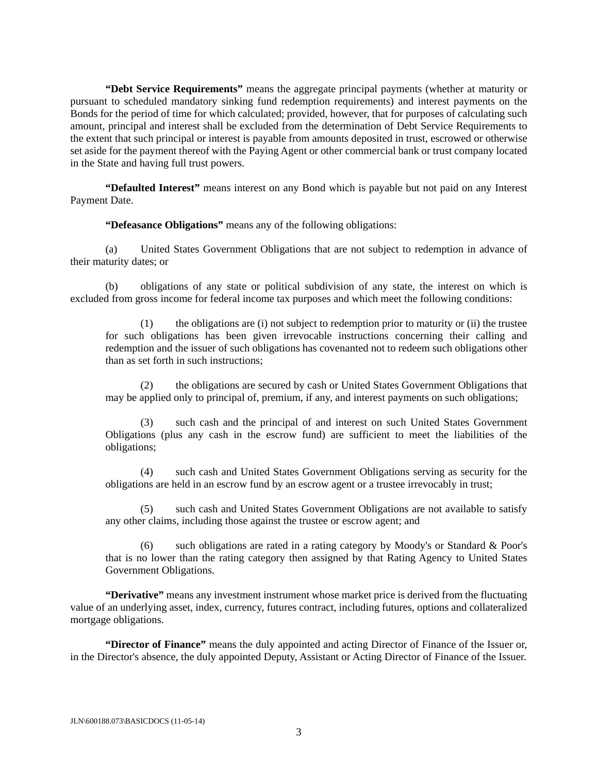**"Debt Service Requirements"** means the aggregate principal payments (whether at maturity or pursuant to scheduled mandatory sinking fund redemption requirements) and interest payments on the Bonds for the period of time for which calculated; provided, however, that for purposes of calculating such amount, principal and interest shall be excluded from the determination of Debt Service Requirements to the extent that such principal or interest is payable from amounts deposited in trust, escrowed or otherwise set aside for the payment thereof with the Paying Agent or other commercial bank or trust company located in the State and having full trust powers.

 **"Defaulted Interest"** means interest on any Bond which is payable but not paid on any Interest Payment Date.

**"Defeasance Obligations"** means any of the following obligations:

 (a) United States Government Obligations that are not subject to redemption in advance of their maturity dates; or

 (b) obligations of any state or political subdivision of any state, the interest on which is excluded from gross income for federal income tax purposes and which meet the following conditions:

 (1) the obligations are (i) not subject to redemption prior to maturity or (ii) the trustee for such obligations has been given irrevocable instructions concerning their calling and redemption and the issuer of such obligations has covenanted not to redeem such obligations other than as set forth in such instructions;

 (2) the obligations are secured by cash or United States Government Obligations that may be applied only to principal of, premium, if any, and interest payments on such obligations;

 (3) such cash and the principal of and interest on such United States Government Obligations (plus any cash in the escrow fund) are sufficient to meet the liabilities of the obligations;

 (4) such cash and United States Government Obligations serving as security for the obligations are held in an escrow fund by an escrow agent or a trustee irrevocably in trust;

 (5) such cash and United States Government Obligations are not available to satisfy any other claims, including those against the trustee or escrow agent; and

 (6) such obligations are rated in a rating category by Moody's or Standard & Poor's that is no lower than the rating category then assigned by that Rating Agency to United States Government Obligations.

**"Derivative"** means any investment instrument whose market price is derived from the fluctuating value of an underlying asset, index, currency, futures contract, including futures, options and collateralized mortgage obligations.

 **"Director of Finance"** means the duly appointed and acting Director of Finance of the Issuer or, in the Director's absence, the duly appointed Deputy, Assistant or Acting Director of Finance of the Issuer.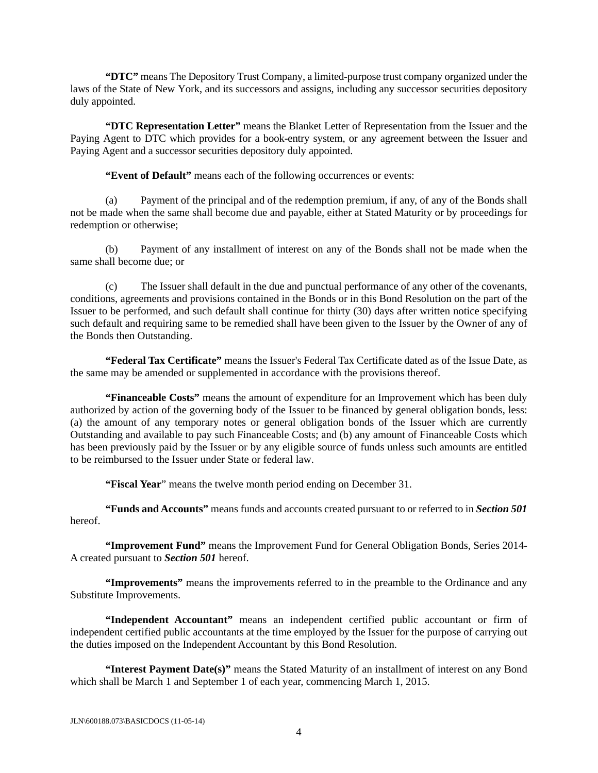**"DTC"** means The Depository Trust Company, a limited-purpose trust company organized under the laws of the State of New York, and its successors and assigns, including any successor securities depository duly appointed.

**"DTC Representation Letter"** means the Blanket Letter of Representation from the Issuer and the Paying Agent to DTC which provides for a book-entry system, or any agreement between the Issuer and Paying Agent and a successor securities depository duly appointed.

**"Event of Default"** means each of the following occurrences or events:

 (a) Payment of the principal and of the redemption premium, if any, of any of the Bonds shall not be made when the same shall become due and payable, either at Stated Maturity or by proceedings for redemption or otherwise;

 (b) Payment of any installment of interest on any of the Bonds shall not be made when the same shall become due; or

 (c) The Issuer shall default in the due and punctual performance of any other of the covenants, conditions, agreements and provisions contained in the Bonds or in this Bond Resolution on the part of the Issuer to be performed, and such default shall continue for thirty (30) days after written notice specifying such default and requiring same to be remedied shall have been given to the Issuer by the Owner of any of the Bonds then Outstanding.

**"Federal Tax Certificate"** means the Issuer's Federal Tax Certificate dated as of the Issue Date, as the same may be amended or supplemented in accordance with the provisions thereof.

**"Financeable Costs"** means the amount of expenditure for an Improvement which has been duly authorized by action of the governing body of the Issuer to be financed by general obligation bonds, less: (a) the amount of any temporary notes or general obligation bonds of the Issuer which are currently Outstanding and available to pay such Financeable Costs; and (b) any amount of Financeable Costs which has been previously paid by the Issuer or by any eligible source of funds unless such amounts are entitled to be reimbursed to the Issuer under State or federal law.

**"Fiscal Year**" means the twelve month period ending on December 31.

**"Funds and Accounts"** means funds and accounts created pursuant to or referred to in *Section 501* hereof.

**"Improvement Fund"** means the Improvement Fund for General Obligation Bonds, Series 2014- A created pursuant to *Section 501* hereof.

**"Improvements"** means the improvements referred to in the preamble to the Ordinance and any Substitute Improvements.

**"Independent Accountant"** means an independent certified public accountant or firm of independent certified public accountants at the time employed by the Issuer for the purpose of carrying out the duties imposed on the Independent Accountant by this Bond Resolution.

**"Interest Payment Date(s)"** means the Stated Maturity of an installment of interest on any Bond which shall be March 1 and September 1 of each year, commencing March 1, 2015.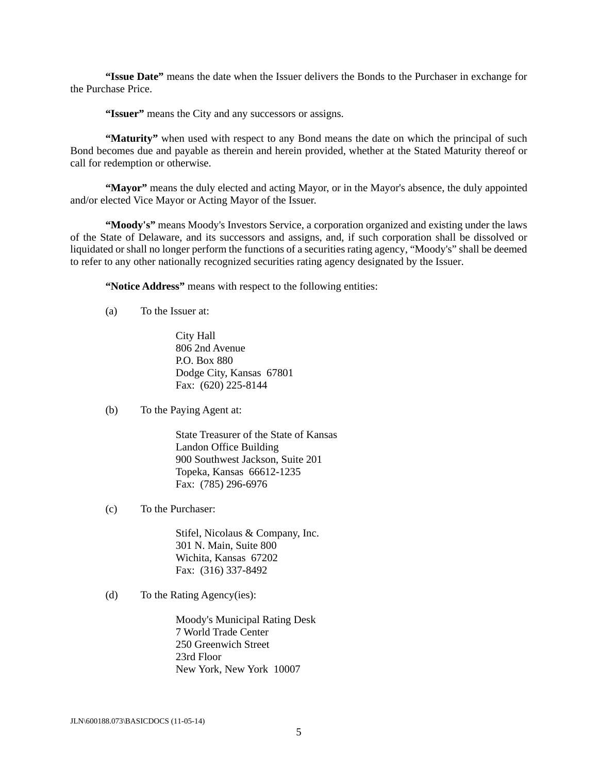**"Issue Date"** means the date when the Issuer delivers the Bonds to the Purchaser in exchange for the Purchase Price.

**"Issuer"** means the City and any successors or assigns.

**"Maturity"** when used with respect to any Bond means the date on which the principal of such Bond becomes due and payable as therein and herein provided, whether at the Stated Maturity thereof or call for redemption or otherwise.

**"Mayor"** means the duly elected and acting Mayor, or in the Mayor's absence, the duly appointed and/or elected Vice Mayor or Acting Mayor of the Issuer.

**"Moody's"** means Moody's Investors Service, a corporation organized and existing under the laws of the State of Delaware, and its successors and assigns, and, if such corporation shall be dissolved or liquidated or shall no longer perform the functions of a securities rating agency, "Moody's" shall be deemed to refer to any other nationally recognized securities rating agency designated by the Issuer.

**"Notice Address"** means with respect to the following entities:

(a) To the Issuer at:

 City Hall 806 2nd Avenue P.O. Box 880 Dodge City, Kansas 67801 Fax: (620) 225-8144

(b) To the Paying Agent at:

 State Treasurer of the State of Kansas Landon Office Building 900 Southwest Jackson, Suite 201 Topeka, Kansas 66612-1235 Fax: (785) 296-6976

(c) To the Purchaser:

 Stifel, Nicolaus & Company, Inc. 301 N. Main, Suite 800 Wichita, Kansas 67202 Fax: (316) 337-8492

(d) To the Rating Agency(ies):

 Moody's Municipal Rating Desk 7 World Trade Center 250 Greenwich Street 23rd Floor New York, New York 10007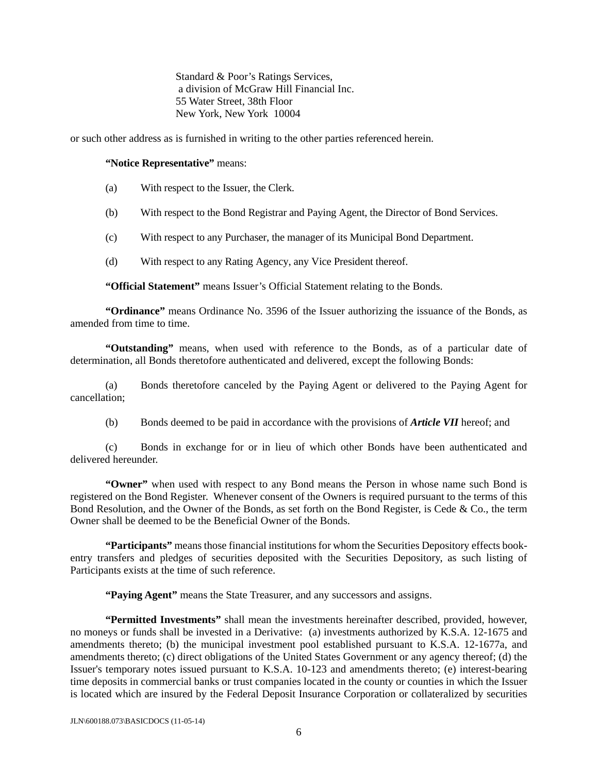Standard & Poor's Ratings Services, a division of McGraw Hill Financial Inc. 55 Water Street, 38th Floor New York, New York 10004

or such other address as is furnished in writing to the other parties referenced herein.

#### **"Notice Representative"** means:

- (a) With respect to the Issuer, the Clerk.
- (b) With respect to the Bond Registrar and Paying Agent, the Director of Bond Services.
- (c) With respect to any Purchaser, the manager of its Municipal Bond Department.
- (d) With respect to any Rating Agency, any Vice President thereof.

**"Official Statement"** means Issuer's Official Statement relating to the Bonds.

**"Ordinance"** means Ordinance No. 3596 of the Issuer authorizing the issuance of the Bonds, as amended from time to time.

**"Outstanding"** means, when used with reference to the Bonds, as of a particular date of determination, all Bonds theretofore authenticated and delivered, except the following Bonds:

 (a) Bonds theretofore canceled by the Paying Agent or delivered to the Paying Agent for cancellation;

(b) Bonds deemed to be paid in accordance with the provisions of *Article VII* hereof; and

 (c) Bonds in exchange for or in lieu of which other Bonds have been authenticated and delivered hereunder.

 **"Owner"** when used with respect to any Bond means the Person in whose name such Bond is registered on the Bond Register. Whenever consent of the Owners is required pursuant to the terms of this Bond Resolution, and the Owner of the Bonds, as set forth on the Bond Register, is Cede & Co., the term Owner shall be deemed to be the Beneficial Owner of the Bonds.

**"Participants"** means those financial institutions for whom the Securities Depository effects bookentry transfers and pledges of securities deposited with the Securities Depository, as such listing of Participants exists at the time of such reference.

 **"Paying Agent"** means the State Treasurer, and any successors and assigns.

**"Permitted Investments"** shall mean the investments hereinafter described, provided, however, no moneys or funds shall be invested in a Derivative: (a) investments authorized by K.S.A. 12-1675 and amendments thereto; (b) the municipal investment pool established pursuant to K.S.A. 12-1677a, and amendments thereto; (c) direct obligations of the United States Government or any agency thereof; (d) the Issuer's temporary notes issued pursuant to K.S.A. 10-123 and amendments thereto; (e) interest-bearing time deposits in commercial banks or trust companies located in the county or counties in which the Issuer is located which are insured by the Federal Deposit Insurance Corporation or collateralized by securities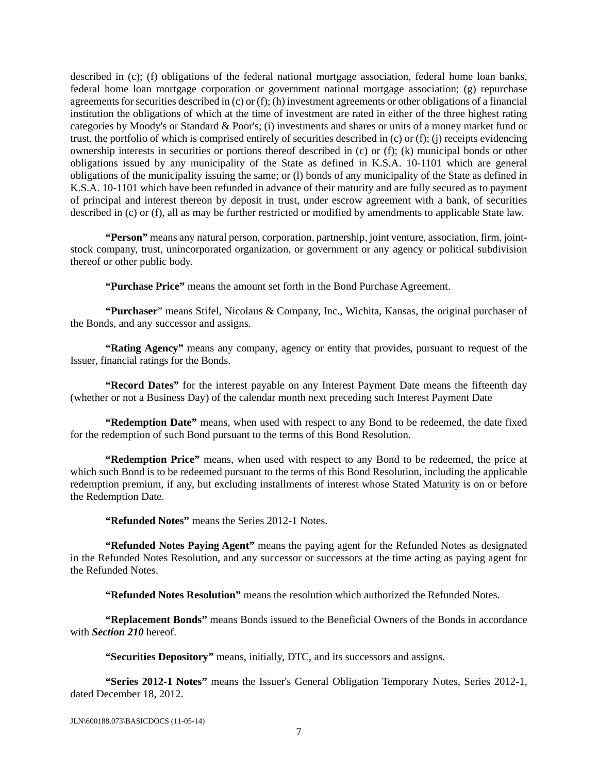described in (c); (f) obligations of the federal national mortgage association, federal home loan banks, federal home loan mortgage corporation or government national mortgage association; (g) repurchase agreements for securities described in (c) or (f); (h) investment agreements or other obligations of a financial institution the obligations of which at the time of investment are rated in either of the three highest rating categories by Moody's or Standard & Poor's; (i) investments and shares or units of a money market fund or trust, the portfolio of which is comprised entirely of securities described in (c) or  $(f)$ ; (j) receipts evidencing ownership interests in securities or portions thereof described in (c) or (f); (k) municipal bonds or other obligations issued by any municipality of the State as defined in K.S.A. 10-1101 which are general obligations of the municipality issuing the same; or (l) bonds of any municipality of the State as defined in K.S.A. 10-1101 which have been refunded in advance of their maturity and are fully secured as to payment of principal and interest thereon by deposit in trust, under escrow agreement with a bank, of securities described in (c) or (f), all as may be further restricted or modified by amendments to applicable State law.

**"Person"** means any natural person, corporation, partnership, joint venture, association, firm, jointstock company, trust, unincorporated organization, or government or any agency or political subdivision thereof or other public body.

**"Purchase Price"** means the amount set forth in the Bond Purchase Agreement.

 **"Purchaser**" means Stifel, Nicolaus & Company, Inc., Wichita, Kansas, the original purchaser of the Bonds, and any successor and assigns.

 **"Rating Agency"** means any company, agency or entity that provides, pursuant to request of the Issuer, financial ratings for the Bonds.

 **"Record Dates"** for the interest payable on any Interest Payment Date means the fifteenth day (whether or not a Business Day) of the calendar month next preceding such Interest Payment Date

**"Redemption Date"** means, when used with respect to any Bond to be redeemed, the date fixed for the redemption of such Bond pursuant to the terms of this Bond Resolution.

**"Redemption Price"** means, when used with respect to any Bond to be redeemed, the price at which such Bond is to be redeemed pursuant to the terms of this Bond Resolution, including the applicable redemption premium, if any, but excluding installments of interest whose Stated Maturity is on or before the Redemption Date.

**"Refunded Notes"** means the Series 2012-1 Notes.

**"Refunded Notes Paying Agent"** means the paying agent for the Refunded Notes as designated in the Refunded Notes Resolution, and any successor or successors at the time acting as paying agent for the Refunded Notes.

**"Refunded Notes Resolution"** means the resolution which authorized the Refunded Notes.

**"Replacement Bonds"** means Bonds issued to the Beneficial Owners of the Bonds in accordance with *Section 210* hereof.

**"Securities Depository"** means, initially, DTC, and its successors and assigns.

 **"Series 2012-1 Notes"** means the Issuer's General Obligation Temporary Notes, Series 2012-1, dated December 18, 2012.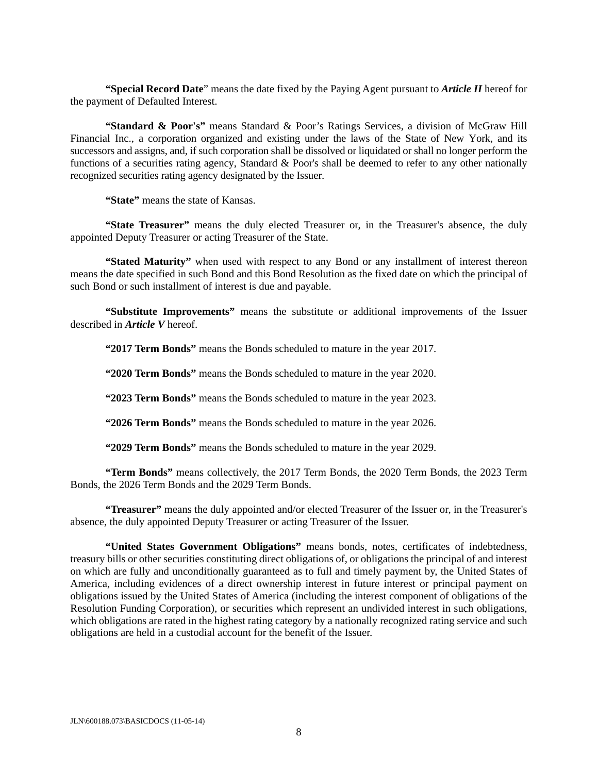**"Special Record Date**" means the date fixed by the Paying Agent pursuant to *Article II* hereof for the payment of Defaulted Interest.

**"Standard & Poor's"** means Standard & Poor's Ratings Services, a division of McGraw Hill Financial Inc., a corporation organized and existing under the laws of the State of New York, and its successors and assigns, and, if such corporation shall be dissolved or liquidated or shall no longer perform the functions of a securities rating agency, Standard & Poor's shall be deemed to refer to any other nationally recognized securities rating agency designated by the Issuer.

**"State"** means the state of Kansas.

 **"State Treasurer"** means the duly elected Treasurer or, in the Treasurer's absence, the duly appointed Deputy Treasurer or acting Treasurer of the State.

**"Stated Maturity"** when used with respect to any Bond or any installment of interest thereon means the date specified in such Bond and this Bond Resolution as the fixed date on which the principal of such Bond or such installment of interest is due and payable.

**"Substitute Improvements"** means the substitute or additional improvements of the Issuer described in *Article V* hereof.

**"2017 Term Bonds"** means the Bonds scheduled to mature in the year 2017.

**"2020 Term Bonds"** means the Bonds scheduled to mature in the year 2020.

**"2023 Term Bonds"** means the Bonds scheduled to mature in the year 2023.

**"2026 Term Bonds"** means the Bonds scheduled to mature in the year 2026.

**"2029 Term Bonds"** means the Bonds scheduled to mature in the year 2029.

**"Term Bonds"** means collectively, the 2017 Term Bonds, the 2020 Term Bonds, the 2023 Term Bonds, the 2026 Term Bonds and the 2029 Term Bonds.

**"Treasurer"** means the duly appointed and/or elected Treasurer of the Issuer or, in the Treasurer's absence, the duly appointed Deputy Treasurer or acting Treasurer of the Issuer.

**"United States Government Obligations"** means bonds, notes, certificates of indebtedness, treasury bills or other securities constituting direct obligations of, or obligations the principal of and interest on which are fully and unconditionally guaranteed as to full and timely payment by, the United States of America, including evidences of a direct ownership interest in future interest or principal payment on obligations issued by the United States of America (including the interest component of obligations of the Resolution Funding Corporation), or securities which represent an undivided interest in such obligations, which obligations are rated in the highest rating category by a nationally recognized rating service and such obligations are held in a custodial account for the benefit of the Issuer.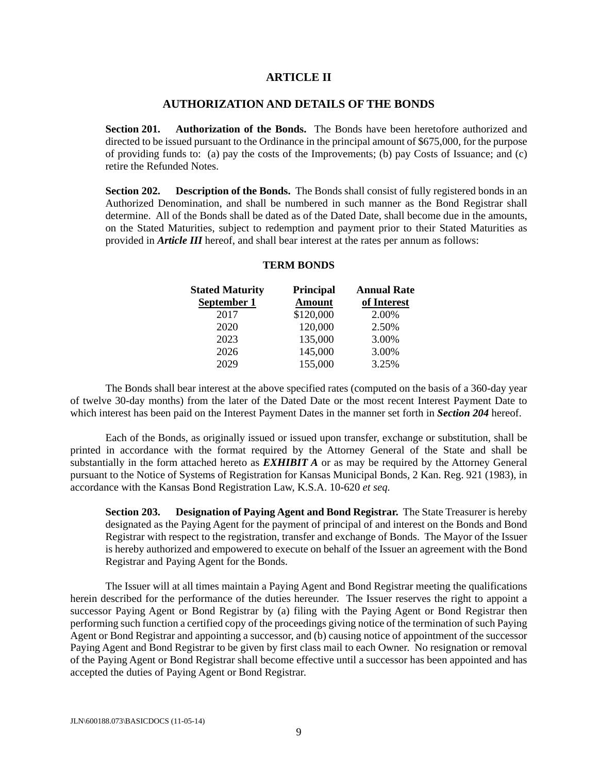### **ARTICLE II**

# **AUTHORIZATION AND DETAILS OF THE BONDS**

**Section 201. Authorization of the Bonds.** The Bonds have been heretofore authorized and directed to be issued pursuant to the Ordinance in the principal amount of \$675,000, for the purpose of providing funds to: (a) pay the costs of the Improvements; (b) pay Costs of Issuance; and (c) retire the Refunded Notes.

**Section 202. Description of the Bonds.** The Bonds shall consist of fully registered bonds in an Authorized Denomination, and shall be numbered in such manner as the Bond Registrar shall determine. All of the Bonds shall be dated as of the Dated Date, shall become due in the amounts, on the Stated Maturities, subject to redemption and payment prior to their Stated Maturities as provided in *Article III* hereof, and shall bear interest at the rates per annum as follows:

| <b>Stated Maturity</b> | <b>Principal</b> | <b>Annual Rate</b> |  |
|------------------------|------------------|--------------------|--|
| September 1            | <b>Amount</b>    | of Interest        |  |
| 2017                   | \$120,000        | 2.00%              |  |
| 2020                   | 120,000          | 2.50%              |  |
| 2023                   | 135,000          | 3.00%              |  |
| 2026                   | 145,000          | 3.00%              |  |
| 2029                   | 155,000          | 3.25%              |  |

#### **TERM BONDS**

 The Bonds shall bear interest at the above specified rates (computed on the basis of a 360-day year of twelve 30-day months) from the later of the Dated Date or the most recent Interest Payment Date to which interest has been paid on the Interest Payment Dates in the manner set forth in *Section 204* hereof.

 Each of the Bonds, as originally issued or issued upon transfer, exchange or substitution, shall be printed in accordance with the format required by the Attorney General of the State and shall be substantially in the form attached hereto as *EXHIBIT A* or as may be required by the Attorney General pursuant to the Notice of Systems of Registration for Kansas Municipal Bonds, 2 Kan. Reg. 921 (1983), in accordance with the Kansas Bond Registration Law, K.S.A. 10-620 *et seq.* 

**Section 203. Designation of Paying Agent and Bond Registrar.** The State Treasurer is hereby designated as the Paying Agent for the payment of principal of and interest on the Bonds and Bond Registrar with respect to the registration, transfer and exchange of Bonds. The Mayor of the Issuer is hereby authorized and empowered to execute on behalf of the Issuer an agreement with the Bond Registrar and Paying Agent for the Bonds.

 The Issuer will at all times maintain a Paying Agent and Bond Registrar meeting the qualifications herein described for the performance of the duties hereunder. The Issuer reserves the right to appoint a successor Paying Agent or Bond Registrar by (a) filing with the Paying Agent or Bond Registrar then performing such function a certified copy of the proceedings giving notice of the termination of such Paying Agent or Bond Registrar and appointing a successor, and (b) causing notice of appointment of the successor Paying Agent and Bond Registrar to be given by first class mail to each Owner. No resignation or removal of the Paying Agent or Bond Registrar shall become effective until a successor has been appointed and has accepted the duties of Paying Agent or Bond Registrar.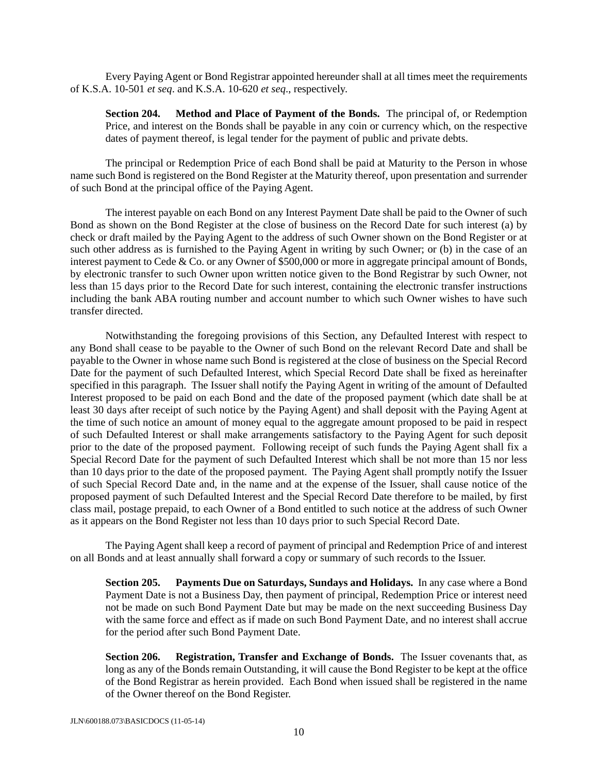Every Paying Agent or Bond Registrar appointed hereunder shall at all times meet the requirements of K.S.A. 10-501 *et seq*. and K.S.A. 10-620 *et seq*., respectively.

**Section 204. Method and Place of Payment of the Bonds.** The principal of, or Redemption Price, and interest on the Bonds shall be payable in any coin or currency which, on the respective dates of payment thereof, is legal tender for the payment of public and private debts.

 The principal or Redemption Price of each Bond shall be paid at Maturity to the Person in whose name such Bond is registered on the Bond Register at the Maturity thereof, upon presentation and surrender of such Bond at the principal office of the Paying Agent.

 The interest payable on each Bond on any Interest Payment Date shall be paid to the Owner of such Bond as shown on the Bond Register at the close of business on the Record Date for such interest (a) by check or draft mailed by the Paying Agent to the address of such Owner shown on the Bond Register or at such other address as is furnished to the Paying Agent in writing by such Owner; or (b) in the case of an interest payment to Cede & Co. or any Owner of \$500,000 or more in aggregate principal amount of Bonds, by electronic transfer to such Owner upon written notice given to the Bond Registrar by such Owner, not less than 15 days prior to the Record Date for such interest, containing the electronic transfer instructions including the bank ABA routing number and account number to which such Owner wishes to have such transfer directed.

 Notwithstanding the foregoing provisions of this Section, any Defaulted Interest with respect to any Bond shall cease to be payable to the Owner of such Bond on the relevant Record Date and shall be payable to the Owner in whose name such Bond is registered at the close of business on the Special Record Date for the payment of such Defaulted Interest, which Special Record Date shall be fixed as hereinafter specified in this paragraph. The Issuer shall notify the Paying Agent in writing of the amount of Defaulted Interest proposed to be paid on each Bond and the date of the proposed payment (which date shall be at least 30 days after receipt of such notice by the Paying Agent) and shall deposit with the Paying Agent at the time of such notice an amount of money equal to the aggregate amount proposed to be paid in respect of such Defaulted Interest or shall make arrangements satisfactory to the Paying Agent for such deposit prior to the date of the proposed payment. Following receipt of such funds the Paying Agent shall fix a Special Record Date for the payment of such Defaulted Interest which shall be not more than 15 nor less than 10 days prior to the date of the proposed payment. The Paying Agent shall promptly notify the Issuer of such Special Record Date and, in the name and at the expense of the Issuer, shall cause notice of the proposed payment of such Defaulted Interest and the Special Record Date therefore to be mailed, by first class mail, postage prepaid, to each Owner of a Bond entitled to such notice at the address of such Owner as it appears on the Bond Register not less than 10 days prior to such Special Record Date.

 The Paying Agent shall keep a record of payment of principal and Redemption Price of and interest on all Bonds and at least annually shall forward a copy or summary of such records to the Issuer.

**Section 205. Payments Due on Saturdays, Sundays and Holidays.** In any case where a Bond Payment Date is not a Business Day, then payment of principal, Redemption Price or interest need not be made on such Bond Payment Date but may be made on the next succeeding Business Day with the same force and effect as if made on such Bond Payment Date, and no interest shall accrue for the period after such Bond Payment Date.

**Section 206. Registration, Transfer and Exchange of Bonds.** The Issuer covenants that, as long as any of the Bonds remain Outstanding, it will cause the Bond Register to be kept at the office of the Bond Registrar as herein provided. Each Bond when issued shall be registered in the name of the Owner thereof on the Bond Register.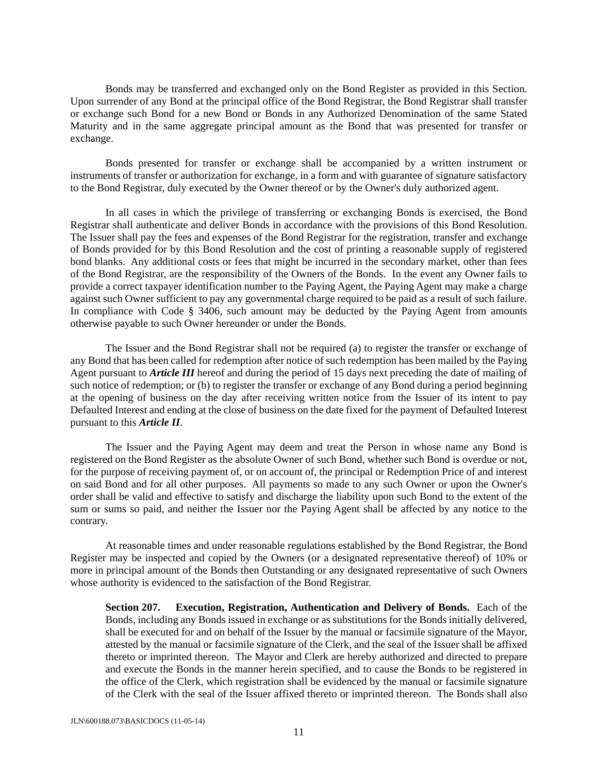Bonds may be transferred and exchanged only on the Bond Register as provided in this Section. Upon surrender of any Bond at the principal office of the Bond Registrar, the Bond Registrar shall transfer or exchange such Bond for a new Bond or Bonds in any Authorized Denomination of the same Stated Maturity and in the same aggregate principal amount as the Bond that was presented for transfer or exchange.

 Bonds presented for transfer or exchange shall be accompanied by a written instrument or instruments of transfer or authorization for exchange, in a form and with guarantee of signature satisfactory to the Bond Registrar, duly executed by the Owner thereof or by the Owner's duly authorized agent.

 In all cases in which the privilege of transferring or exchanging Bonds is exercised, the Bond Registrar shall authenticate and deliver Bonds in accordance with the provisions of this Bond Resolution. The Issuer shall pay the fees and expenses of the Bond Registrar for the registration, transfer and exchange of Bonds provided for by this Bond Resolution and the cost of printing a reasonable supply of registered bond blanks. Any additional costs or fees that might be incurred in the secondary market, other than fees of the Bond Registrar, are the responsibility of the Owners of the Bonds. In the event any Owner fails to provide a correct taxpayer identification number to the Paying Agent, the Paying Agent may make a charge against such Owner sufficient to pay any governmental charge required to be paid as a result of such failure. In compliance with Code § 3406, such amount may be deducted by the Paying Agent from amounts otherwise payable to such Owner hereunder or under the Bonds.

 The Issuer and the Bond Registrar shall not be required (a) to register the transfer or exchange of any Bond that has been called for redemption after notice of such redemption has been mailed by the Paying Agent pursuant to *Article III* hereof and during the period of 15 days next preceding the date of mailing of such notice of redemption; or (b) to register the transfer or exchange of any Bond during a period beginning at the opening of business on the day after receiving written notice from the Issuer of its intent to pay Defaulted Interest and ending at the close of business on the date fixed for the payment of Defaulted Interest pursuant to this *Article II*.

 The Issuer and the Paying Agent may deem and treat the Person in whose name any Bond is registered on the Bond Register as the absolute Owner of such Bond, whether such Bond is overdue or not, for the purpose of receiving payment of, or on account of, the principal or Redemption Price of and interest on said Bond and for all other purposes. All payments so made to any such Owner or upon the Owner's order shall be valid and effective to satisfy and discharge the liability upon such Bond to the extent of the sum or sums so paid, and neither the Issuer nor the Paying Agent shall be affected by any notice to the contrary.

 At reasonable times and under reasonable regulations established by the Bond Registrar, the Bond Register may be inspected and copied by the Owners (or a designated representative thereof) of 10% or more in principal amount of the Bonds then Outstanding or any designated representative of such Owners whose authority is evidenced to the satisfaction of the Bond Registrar.

**Section 207. Execution, Registration, Authentication and Delivery of Bonds.** Each of the Bonds, including any Bonds issued in exchange or as substitutions for the Bonds initially delivered, shall be executed for and on behalf of the Issuer by the manual or facsimile signature of the Mayor, attested by the manual or facsimile signature of the Clerk, and the seal of the Issuer shall be affixed thereto or imprinted thereon. The Mayor and Clerk are hereby authorized and directed to prepare and execute the Bonds in the manner herein specified, and to cause the Bonds to be registered in the office of the Clerk, which registration shall be evidenced by the manual or facsimile signature of the Clerk with the seal of the Issuer affixed thereto or imprinted thereon. The Bonds shall also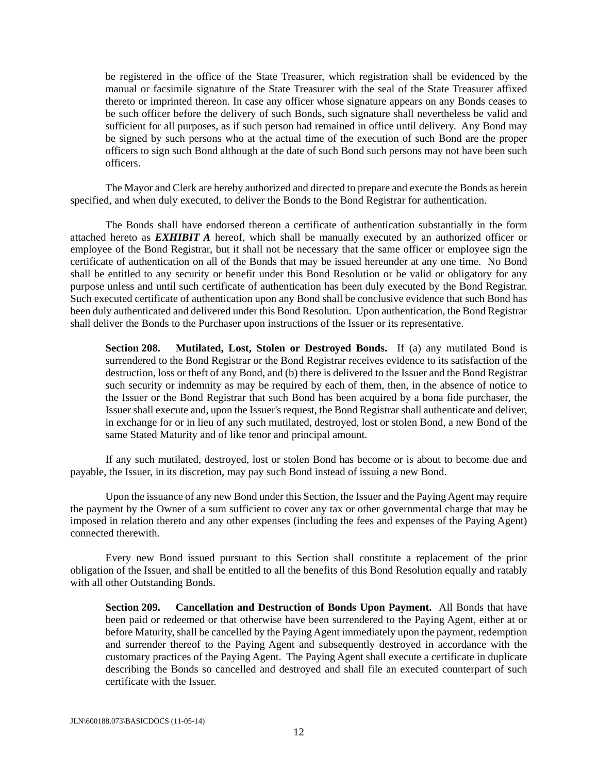be registered in the office of the State Treasurer, which registration shall be evidenced by the manual or facsimile signature of the State Treasurer with the seal of the State Treasurer affixed thereto or imprinted thereon. In case any officer whose signature appears on any Bonds ceases to be such officer before the delivery of such Bonds, such signature shall nevertheless be valid and sufficient for all purposes, as if such person had remained in office until delivery. Any Bond may be signed by such persons who at the actual time of the execution of such Bond are the proper officers to sign such Bond although at the date of such Bond such persons may not have been such officers.

 The Mayor and Clerk are hereby authorized and directed to prepare and execute the Bonds as herein specified, and when duly executed, to deliver the Bonds to the Bond Registrar for authentication.

 The Bonds shall have endorsed thereon a certificate of authentication substantially in the form attached hereto as *EXHIBIT A* hereof, which shall be manually executed by an authorized officer or employee of the Bond Registrar, but it shall not be necessary that the same officer or employee sign the certificate of authentication on all of the Bonds that may be issued hereunder at any one time. No Bond shall be entitled to any security or benefit under this Bond Resolution or be valid or obligatory for any purpose unless and until such certificate of authentication has been duly executed by the Bond Registrar. Such executed certificate of authentication upon any Bond shall be conclusive evidence that such Bond has been duly authenticated and delivered under this Bond Resolution. Upon authentication, the Bond Registrar shall deliver the Bonds to the Purchaser upon instructions of the Issuer or its representative.

**Section 208. Mutilated, Lost, Stolen or Destroyed Bonds.** If (a) any mutilated Bond is surrendered to the Bond Registrar or the Bond Registrar receives evidence to its satisfaction of the destruction, loss or theft of any Bond, and (b) there is delivered to the Issuer and the Bond Registrar such security or indemnity as may be required by each of them, then, in the absence of notice to the Issuer or the Bond Registrar that such Bond has been acquired by a bona fide purchaser, the Issuer shall execute and, upon the Issuer's request, the Bond Registrar shall authenticate and deliver, in exchange for or in lieu of any such mutilated, destroyed, lost or stolen Bond, a new Bond of the same Stated Maturity and of like tenor and principal amount.

 If any such mutilated, destroyed, lost or stolen Bond has become or is about to become due and payable, the Issuer, in its discretion, may pay such Bond instead of issuing a new Bond.

 Upon the issuance of any new Bond under this Section, the Issuer and the Paying Agent may require the payment by the Owner of a sum sufficient to cover any tax or other governmental charge that may be imposed in relation thereto and any other expenses (including the fees and expenses of the Paying Agent) connected therewith.

 Every new Bond issued pursuant to this Section shall constitute a replacement of the prior obligation of the Issuer, and shall be entitled to all the benefits of this Bond Resolution equally and ratably with all other Outstanding Bonds.

**Section 209. Cancellation and Destruction of Bonds Upon Payment.** All Bonds that have been paid or redeemed or that otherwise have been surrendered to the Paying Agent, either at or before Maturity, shall be cancelled by the Paying Agent immediately upon the payment, redemption and surrender thereof to the Paying Agent and subsequently destroyed in accordance with the customary practices of the Paying Agent. The Paying Agent shall execute a certificate in duplicate describing the Bonds so cancelled and destroyed and shall file an executed counterpart of such certificate with the Issuer.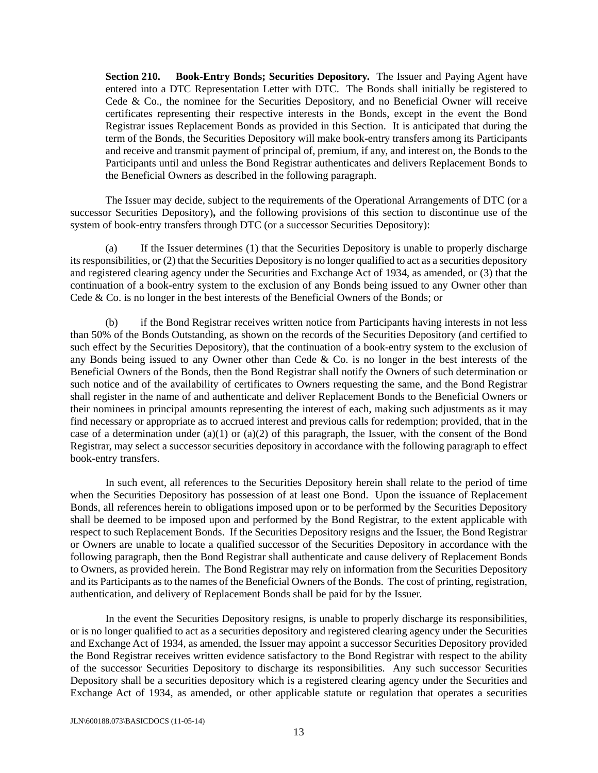**Section 210. Book-Entry Bonds; Securities Depository.** The Issuer and Paying Agent have entered into a DTC Representation Letter with DTC. The Bonds shall initially be registered to Cede & Co., the nominee for the Securities Depository, and no Beneficial Owner will receive certificates representing their respective interests in the Bonds, except in the event the Bond Registrar issues Replacement Bonds as provided in this Section. It is anticipated that during the term of the Bonds, the Securities Depository will make book-entry transfers among its Participants and receive and transmit payment of principal of, premium, if any, and interest on, the Bonds to the Participants until and unless the Bond Registrar authenticates and delivers Replacement Bonds to the Beneficial Owners as described in the following paragraph.

 The Issuer may decide, subject to the requirements of the Operational Arrangements of DTC (or a successor Securities Depository)**,** and the following provisions of this section to discontinue use of the system of book-entry transfers through DTC (or a successor Securities Depository):

 (a) If the Issuer determines (1) that the Securities Depository is unable to properly discharge its responsibilities, or (2) that the Securities Depository is no longer qualified to act as a securities depository and registered clearing agency under the Securities and Exchange Act of 1934, as amended, or (3) that the continuation of a book-entry system to the exclusion of any Bonds being issued to any Owner other than Cede & Co. is no longer in the best interests of the Beneficial Owners of the Bonds; or

 (b) if the Bond Registrar receives written notice from Participants having interests in not less than 50% of the Bonds Outstanding, as shown on the records of the Securities Depository (and certified to such effect by the Securities Depository), that the continuation of a book-entry system to the exclusion of any Bonds being issued to any Owner other than Cede & Co. is no longer in the best interests of the Beneficial Owners of the Bonds, then the Bond Registrar shall notify the Owners of such determination or such notice and of the availability of certificates to Owners requesting the same, and the Bond Registrar shall register in the name of and authenticate and deliver Replacement Bonds to the Beneficial Owners or their nominees in principal amounts representing the interest of each, making such adjustments as it may find necessary or appropriate as to accrued interest and previous calls for redemption; provided, that in the case of a determination under (a)(1) or (a)(2) of this paragraph, the Issuer, with the consent of the Bond Registrar, may select a successor securities depository in accordance with the following paragraph to effect book-entry transfers.

 In such event, all references to the Securities Depository herein shall relate to the period of time when the Securities Depository has possession of at least one Bond. Upon the issuance of Replacement Bonds, all references herein to obligations imposed upon or to be performed by the Securities Depository shall be deemed to be imposed upon and performed by the Bond Registrar, to the extent applicable with respect to such Replacement Bonds. If the Securities Depository resigns and the Issuer, the Bond Registrar or Owners are unable to locate a qualified successor of the Securities Depository in accordance with the following paragraph, then the Bond Registrar shall authenticate and cause delivery of Replacement Bonds to Owners, as provided herein. The Bond Registrar may rely on information from the Securities Depository and its Participants as to the names of the Beneficial Owners of the Bonds. The cost of printing, registration, authentication, and delivery of Replacement Bonds shall be paid for by the Issuer.

 In the event the Securities Depository resigns, is unable to properly discharge its responsibilities, or is no longer qualified to act as a securities depository and registered clearing agency under the Securities and Exchange Act of 1934, as amended, the Issuer may appoint a successor Securities Depository provided the Bond Registrar receives written evidence satisfactory to the Bond Registrar with respect to the ability of the successor Securities Depository to discharge its responsibilities. Any such successor Securities Depository shall be a securities depository which is a registered clearing agency under the Securities and Exchange Act of 1934, as amended, or other applicable statute or regulation that operates a securities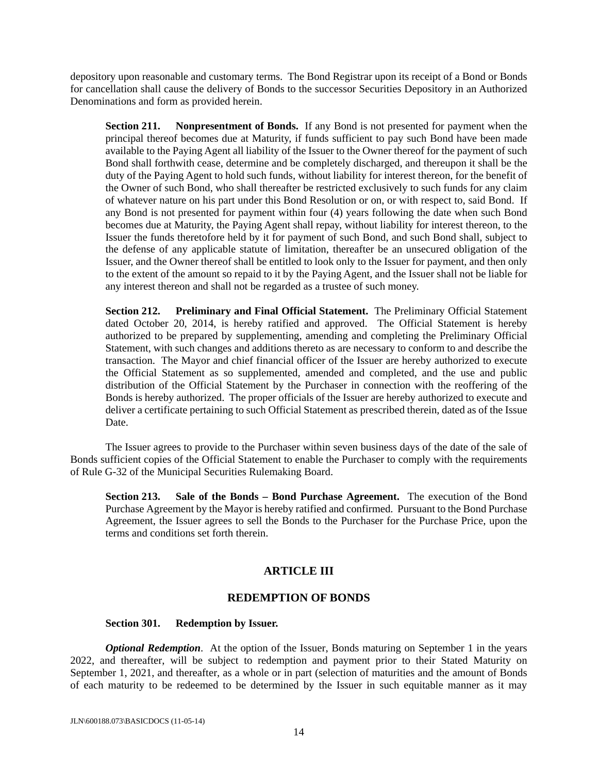depository upon reasonable and customary terms. The Bond Registrar upon its receipt of a Bond or Bonds for cancellation shall cause the delivery of Bonds to the successor Securities Depository in an Authorized Denominations and form as provided herein.

**Section 211. Nonpresentment of Bonds.** If any Bond is not presented for payment when the principal thereof becomes due at Maturity, if funds sufficient to pay such Bond have been made available to the Paying Agent all liability of the Issuer to the Owner thereof for the payment of such Bond shall forthwith cease, determine and be completely discharged, and thereupon it shall be the duty of the Paying Agent to hold such funds, without liability for interest thereon, for the benefit of the Owner of such Bond, who shall thereafter be restricted exclusively to such funds for any claim of whatever nature on his part under this Bond Resolution or on, or with respect to, said Bond. If any Bond is not presented for payment within four (4) years following the date when such Bond becomes due at Maturity, the Paying Agent shall repay, without liability for interest thereon, to the Issuer the funds theretofore held by it for payment of such Bond, and such Bond shall, subject to the defense of any applicable statute of limitation, thereafter be an unsecured obligation of the Issuer, and the Owner thereof shall be entitled to look only to the Issuer for payment, and then only to the extent of the amount so repaid to it by the Paying Agent, and the Issuer shall not be liable for any interest thereon and shall not be regarded as a trustee of such money.

**Section 212. Preliminary and Final Official Statement.** The Preliminary Official Statement dated October 20, 2014, is hereby ratified and approved. The Official Statement is hereby authorized to be prepared by supplementing, amending and completing the Preliminary Official Statement, with such changes and additions thereto as are necessary to conform to and describe the transaction. The Mayor and chief financial officer of the Issuer are hereby authorized to execute the Official Statement as so supplemented, amended and completed, and the use and public distribution of the Official Statement by the Purchaser in connection with the reoffering of the Bonds is hereby authorized. The proper officials of the Issuer are hereby authorized to execute and deliver a certificate pertaining to such Official Statement as prescribed therein, dated as of the Issue Date.

 The Issuer agrees to provide to the Purchaser within seven business days of the date of the sale of Bonds sufficient copies of the Official Statement to enable the Purchaser to comply with the requirements of Rule G-32 of the Municipal Securities Rulemaking Board.

**Section 213. Sale of the Bonds – Bond Purchase Agreement.** The execution of the Bond Purchase Agreement by the Mayor is hereby ratified and confirmed. Pursuant to the Bond Purchase Agreement, the Issuer agrees to sell the Bonds to the Purchaser for the Purchase Price, upon the terms and conditions set forth therein.

# **ARTICLE III**

### **REDEMPTION OF BONDS**

#### **Section 301. Redemption by Issuer.**

*Optional Redemption*. At the option of the Issuer, Bonds maturing on September 1 in the years 2022, and thereafter, will be subject to redemption and payment prior to their Stated Maturity on September 1, 2021, and thereafter, as a whole or in part (selection of maturities and the amount of Bonds of each maturity to be redeemed to be determined by the Issuer in such equitable manner as it may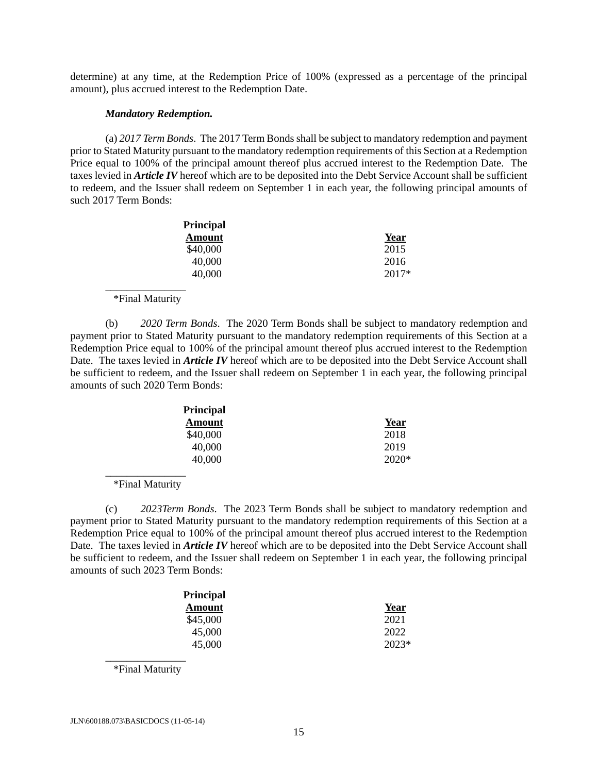determine) at any time, at the Redemption Price of 100% (expressed as a percentage of the principal amount), plus accrued interest to the Redemption Date.

#### *Mandatory Redemption.*

(a) *2017 Term Bonds*. The 2017 Term Bonds shall be subject to mandatory redemption and payment prior to Stated Maturity pursuant to the mandatory redemption requirements of this Section at a Redemption Price equal to 100% of the principal amount thereof plus accrued interest to the Redemption Date. The taxes levied in *Article IV* hereof which are to be deposited into the Debt Service Account shall be sufficient to redeem, and the Issuer shall redeem on September 1 in each year, the following principal amounts of such 2017 Term Bonds:

| <b>Principal</b> |         |  |
|------------------|---------|--|
| Amount           | Year    |  |
| \$40,000         | 2015    |  |
| 40,000           | 2016    |  |
| 40,000           | $2017*$ |  |

#### \*Final Maturity

 $\frac{1}{\sqrt{2}}$  ,  $\frac{1}{\sqrt{2}}$  ,  $\frac{1}{\sqrt{2}}$  ,  $\frac{1}{\sqrt{2}}$  ,  $\frac{1}{\sqrt{2}}$  ,  $\frac{1}{\sqrt{2}}$  ,  $\frac{1}{\sqrt{2}}$  ,  $\frac{1}{\sqrt{2}}$  ,  $\frac{1}{\sqrt{2}}$  ,  $\frac{1}{\sqrt{2}}$  ,  $\frac{1}{\sqrt{2}}$  ,  $\frac{1}{\sqrt{2}}$  ,  $\frac{1}{\sqrt{2}}$  ,  $\frac{1}{\sqrt{2}}$  ,  $\frac{1}{\sqrt{2}}$ 

 (b) *2020 Term Bonds*. The 2020 Term Bonds shall be subject to mandatory redemption and payment prior to Stated Maturity pursuant to the mandatory redemption requirements of this Section at a Redemption Price equal to 100% of the principal amount thereof plus accrued interest to the Redemption Date. The taxes levied in *Article IV* hereof which are to be deposited into the Debt Service Account shall be sufficient to redeem, and the Issuer shall redeem on September 1 in each year, the following principal amounts of such 2020 Term Bonds:

| <b>Principal</b> |         |  |
|------------------|---------|--|
| Amount           | Year    |  |
| \$40,000         | 2018    |  |
| 40,000           | 2019    |  |
| 40,000           | $2020*$ |  |

\*Final Maturity

 $\frac{1}{\sqrt{2}}$  ,  $\frac{1}{\sqrt{2}}$  ,  $\frac{1}{\sqrt{2}}$  ,  $\frac{1}{\sqrt{2}}$  ,  $\frac{1}{\sqrt{2}}$  ,  $\frac{1}{\sqrt{2}}$  ,  $\frac{1}{\sqrt{2}}$  ,  $\frac{1}{\sqrt{2}}$  ,  $\frac{1}{\sqrt{2}}$  ,  $\frac{1}{\sqrt{2}}$  ,  $\frac{1}{\sqrt{2}}$  ,  $\frac{1}{\sqrt{2}}$  ,  $\frac{1}{\sqrt{2}}$  ,  $\frac{1}{\sqrt{2}}$  ,  $\frac{1}{\sqrt{2}}$ 

 (c) *2023Term Bonds*. The 2023 Term Bonds shall be subject to mandatory redemption and payment prior to Stated Maturity pursuant to the mandatory redemption requirements of this Section at a Redemption Price equal to 100% of the principal amount thereof plus accrued interest to the Redemption Date. The taxes levied in *Article IV* hereof which are to be deposited into the Debt Service Account shall be sufficient to redeem, and the Issuer shall redeem on September 1 in each year, the following principal amounts of such 2023 Term Bonds:

| Principal |         |  |
|-----------|---------|--|
| Amount    | Year    |  |
| \$45,000  | 2021    |  |
| 45,000    | 2022    |  |
| 45,000    | $2023*$ |  |

\*Final Maturity

 $\frac{1}{\sqrt{2}}$  ,  $\frac{1}{\sqrt{2}}$  ,  $\frac{1}{\sqrt{2}}$  ,  $\frac{1}{\sqrt{2}}$  ,  $\frac{1}{\sqrt{2}}$  ,  $\frac{1}{\sqrt{2}}$  ,  $\frac{1}{\sqrt{2}}$  ,  $\frac{1}{\sqrt{2}}$  ,  $\frac{1}{\sqrt{2}}$  ,  $\frac{1}{\sqrt{2}}$  ,  $\frac{1}{\sqrt{2}}$  ,  $\frac{1}{\sqrt{2}}$  ,  $\frac{1}{\sqrt{2}}$  ,  $\frac{1}{\sqrt{2}}$  ,  $\frac{1}{\sqrt{2}}$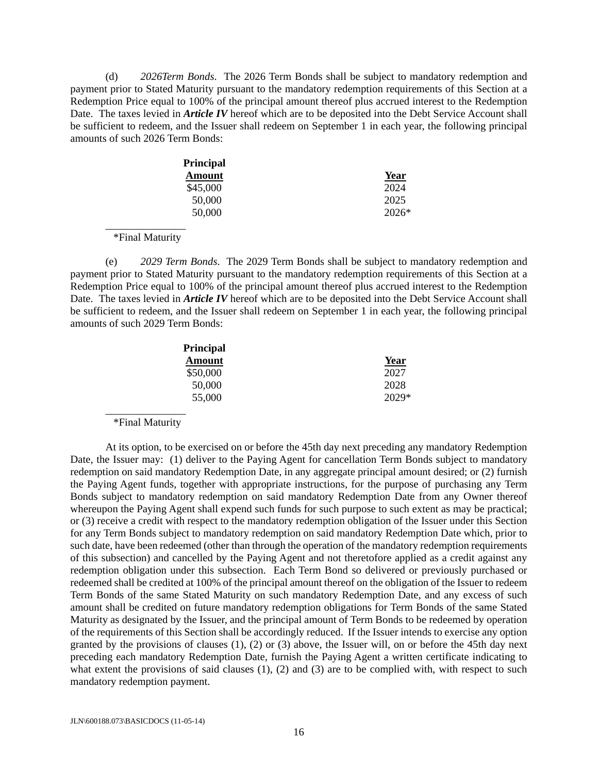(d) *2026Term Bonds*. The 2026 Term Bonds shall be subject to mandatory redemption and payment prior to Stated Maturity pursuant to the mandatory redemption requirements of this Section at a Redemption Price equal to 100% of the principal amount thereof plus accrued interest to the Redemption Date. The taxes levied in *Article IV* hereof which are to be deposited into the Debt Service Account shall be sufficient to redeem, and the Issuer shall redeem on September 1 in each year, the following principal amounts of such 2026 Term Bonds:

| <b>Principal</b> |         |  |
|------------------|---------|--|
| Amount           | Year    |  |
| \$45,000         | 2024    |  |
| 50,000           | 2025    |  |
| 50,000           | $2026*$ |  |

\*Final Maturity

 $\overline{\phantom{a}}$  ,  $\overline{\phantom{a}}$  ,  $\overline{\phantom{a}}$  ,  $\overline{\phantom{a}}$  ,  $\overline{\phantom{a}}$  ,  $\overline{\phantom{a}}$  ,  $\overline{\phantom{a}}$  ,  $\overline{\phantom{a}}$  ,  $\overline{\phantom{a}}$  ,  $\overline{\phantom{a}}$  ,  $\overline{\phantom{a}}$  ,  $\overline{\phantom{a}}$  ,  $\overline{\phantom{a}}$  ,  $\overline{\phantom{a}}$  ,  $\overline{\phantom{a}}$  ,  $\overline{\phantom{a}}$ 

 (e) *2029 Term Bonds*. The 2029 Term Bonds shall be subject to mandatory redemption and payment prior to Stated Maturity pursuant to the mandatory redemption requirements of this Section at a Redemption Price equal to 100% of the principal amount thereof plus accrued interest to the Redemption Date. The taxes levied in *Article IV* hereof which are to be deposited into the Debt Service Account shall be sufficient to redeem, and the Issuer shall redeem on September 1 in each year, the following principal amounts of such 2029 Term Bonds:

| Principal |         |  |
|-----------|---------|--|
| Amount    | Year    |  |
| \$50,000  | 2027    |  |
| 50,000    | 2028    |  |
| 55,000    | $2029*$ |  |

\*Final Maturity

 $\overline{\phantom{a}}$  ,  $\overline{\phantom{a}}$  ,  $\overline{\phantom{a}}$  ,  $\overline{\phantom{a}}$  ,  $\overline{\phantom{a}}$  ,  $\overline{\phantom{a}}$  ,  $\overline{\phantom{a}}$  ,  $\overline{\phantom{a}}$  ,  $\overline{\phantom{a}}$  ,  $\overline{\phantom{a}}$  ,  $\overline{\phantom{a}}$  ,  $\overline{\phantom{a}}$  ,  $\overline{\phantom{a}}$  ,  $\overline{\phantom{a}}$  ,  $\overline{\phantom{a}}$  ,  $\overline{\phantom{a}}$ 

 At its option, to be exercised on or before the 45th day next preceding any mandatory Redemption Date, the Issuer may: (1) deliver to the Paying Agent for cancellation Term Bonds subject to mandatory redemption on said mandatory Redemption Date, in any aggregate principal amount desired; or (2) furnish the Paying Agent funds, together with appropriate instructions, for the purpose of purchasing any Term Bonds subject to mandatory redemption on said mandatory Redemption Date from any Owner thereof whereupon the Paying Agent shall expend such funds for such purpose to such extent as may be practical; or (3) receive a credit with respect to the mandatory redemption obligation of the Issuer under this Section for any Term Bonds subject to mandatory redemption on said mandatory Redemption Date which, prior to such date, have been redeemed (other than through the operation of the mandatory redemption requirements of this subsection) and cancelled by the Paying Agent and not theretofore applied as a credit against any redemption obligation under this subsection. Each Term Bond so delivered or previously purchased or redeemed shall be credited at 100% of the principal amount thereof on the obligation of the Issuer to redeem Term Bonds of the same Stated Maturity on such mandatory Redemption Date, and any excess of such amount shall be credited on future mandatory redemption obligations for Term Bonds of the same Stated Maturity as designated by the Issuer, and the principal amount of Term Bonds to be redeemed by operation of the requirements of this Section shall be accordingly reduced. If the Issuer intends to exercise any option granted by the provisions of clauses (1), (2) or (3) above, the Issuer will, on or before the 45th day next preceding each mandatory Redemption Date, furnish the Paying Agent a written certificate indicating to what extent the provisions of said clauses  $(1)$ ,  $(2)$  and  $(3)$  are to be complied with, with respect to such mandatory redemption payment.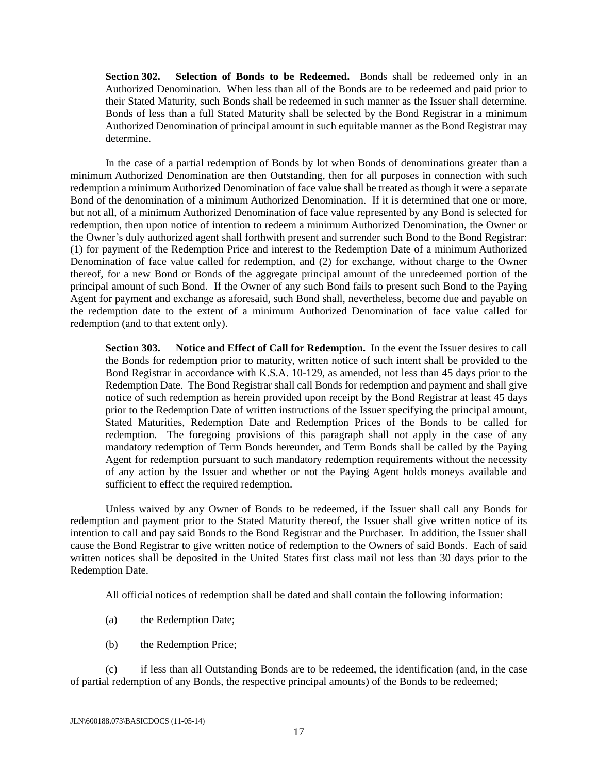**Section 302. Selection of Bonds to be Redeemed.** Bonds shall be redeemed only in an Authorized Denomination. When less than all of the Bonds are to be redeemed and paid prior to their Stated Maturity, such Bonds shall be redeemed in such manner as the Issuer shall determine. Bonds of less than a full Stated Maturity shall be selected by the Bond Registrar in a minimum Authorized Denomination of principal amount in such equitable manner as the Bond Registrar may determine.

 In the case of a partial redemption of Bonds by lot when Bonds of denominations greater than a minimum Authorized Denomination are then Outstanding, then for all purposes in connection with such redemption a minimum Authorized Denomination of face value shall be treated as though it were a separate Bond of the denomination of a minimum Authorized Denomination. If it is determined that one or more, but not all, of a minimum Authorized Denomination of face value represented by any Bond is selected for redemption, then upon notice of intention to redeem a minimum Authorized Denomination, the Owner or the Owner's duly authorized agent shall forthwith present and surrender such Bond to the Bond Registrar: (1) for payment of the Redemption Price and interest to the Redemption Date of a minimum Authorized Denomination of face value called for redemption, and (2) for exchange, without charge to the Owner thereof, for a new Bond or Bonds of the aggregate principal amount of the unredeemed portion of the principal amount of such Bond. If the Owner of any such Bond fails to present such Bond to the Paying Agent for payment and exchange as aforesaid, such Bond shall, nevertheless, become due and payable on the redemption date to the extent of a minimum Authorized Denomination of face value called for redemption (and to that extent only).

**Section 303. Notice and Effect of Call for Redemption.** In the event the Issuer desires to call the Bonds for redemption prior to maturity, written notice of such intent shall be provided to the Bond Registrar in accordance with K.S.A. 10-129, as amended, not less than 45 days prior to the Redemption Date. The Bond Registrar shall call Bonds for redemption and payment and shall give notice of such redemption as herein provided upon receipt by the Bond Registrar at least 45 days prior to the Redemption Date of written instructions of the Issuer specifying the principal amount, Stated Maturities, Redemption Date and Redemption Prices of the Bonds to be called for redemption. The foregoing provisions of this paragraph shall not apply in the case of any mandatory redemption of Term Bonds hereunder, and Term Bonds shall be called by the Paying Agent for redemption pursuant to such mandatory redemption requirements without the necessity of any action by the Issuer and whether or not the Paying Agent holds moneys available and sufficient to effect the required redemption.

 Unless waived by any Owner of Bonds to be redeemed, if the Issuer shall call any Bonds for redemption and payment prior to the Stated Maturity thereof, the Issuer shall give written notice of its intention to call and pay said Bonds to the Bond Registrar and the Purchaser. In addition, the Issuer shall cause the Bond Registrar to give written notice of redemption to the Owners of said Bonds. Each of said written notices shall be deposited in the United States first class mail not less than 30 days prior to the Redemption Date.

All official notices of redemption shall be dated and shall contain the following information:

- (a) the Redemption Date;
- (b) the Redemption Price;

 (c) if less than all Outstanding Bonds are to be redeemed, the identification (and, in the case of partial redemption of any Bonds, the respective principal amounts) of the Bonds to be redeemed;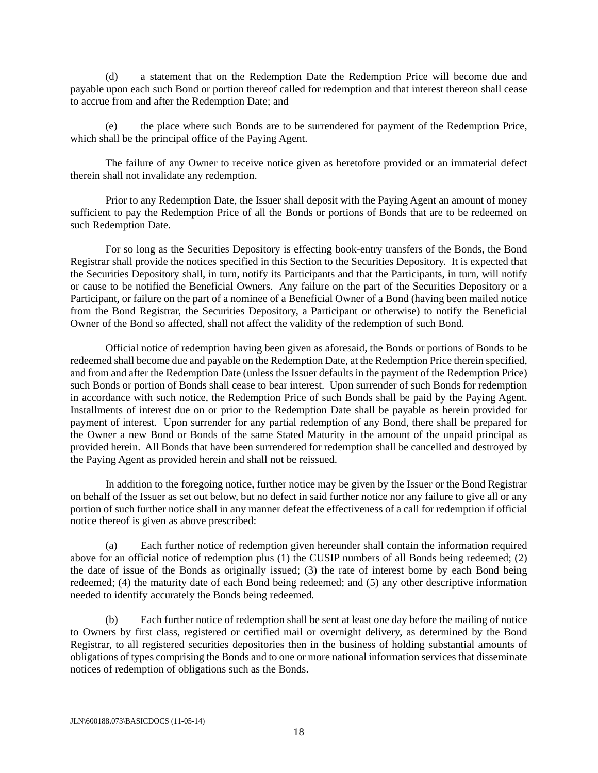(d) a statement that on the Redemption Date the Redemption Price will become due and payable upon each such Bond or portion thereof called for redemption and that interest thereon shall cease to accrue from and after the Redemption Date; and

 (e) the place where such Bonds are to be surrendered for payment of the Redemption Price, which shall be the principal office of the Paying Agent.

 The failure of any Owner to receive notice given as heretofore provided or an immaterial defect therein shall not invalidate any redemption.

 Prior to any Redemption Date, the Issuer shall deposit with the Paying Agent an amount of money sufficient to pay the Redemption Price of all the Bonds or portions of Bonds that are to be redeemed on such Redemption Date.

 For so long as the Securities Depository is effecting book-entry transfers of the Bonds, the Bond Registrar shall provide the notices specified in this Section to the Securities Depository. It is expected that the Securities Depository shall, in turn, notify its Participants and that the Participants, in turn, will notify or cause to be notified the Beneficial Owners. Any failure on the part of the Securities Depository or a Participant, or failure on the part of a nominee of a Beneficial Owner of a Bond (having been mailed notice from the Bond Registrar, the Securities Depository, a Participant or otherwise) to notify the Beneficial Owner of the Bond so affected, shall not affect the validity of the redemption of such Bond.

 Official notice of redemption having been given as aforesaid, the Bonds or portions of Bonds to be redeemed shall become due and payable on the Redemption Date, at the Redemption Price therein specified, and from and after the Redemption Date (unless the Issuer defaults in the payment of the Redemption Price) such Bonds or portion of Bonds shall cease to bear interest. Upon surrender of such Bonds for redemption in accordance with such notice, the Redemption Price of such Bonds shall be paid by the Paying Agent. Installments of interest due on or prior to the Redemption Date shall be payable as herein provided for payment of interest. Upon surrender for any partial redemption of any Bond, there shall be prepared for the Owner a new Bond or Bonds of the same Stated Maturity in the amount of the unpaid principal as provided herein. All Bonds that have been surrendered for redemption shall be cancelled and destroyed by the Paying Agent as provided herein and shall not be reissued.

 In addition to the foregoing notice, further notice may be given by the Issuer or the Bond Registrar on behalf of the Issuer as set out below, but no defect in said further notice nor any failure to give all or any portion of such further notice shall in any manner defeat the effectiveness of a call for redemption if official notice thereof is given as above prescribed:

 (a) Each further notice of redemption given hereunder shall contain the information required above for an official notice of redemption plus (1) the CUSIP numbers of all Bonds being redeemed; (2) the date of issue of the Bonds as originally issued; (3) the rate of interest borne by each Bond being redeemed; (4) the maturity date of each Bond being redeemed; and (5) any other descriptive information needed to identify accurately the Bonds being redeemed.

 (b) Each further notice of redemption shall be sent at least one day before the mailing of notice to Owners by first class, registered or certified mail or overnight delivery, as determined by the Bond Registrar, to all registered securities depositories then in the business of holding substantial amounts of obligations of types comprising the Bonds and to one or more national information services that disseminate notices of redemption of obligations such as the Bonds.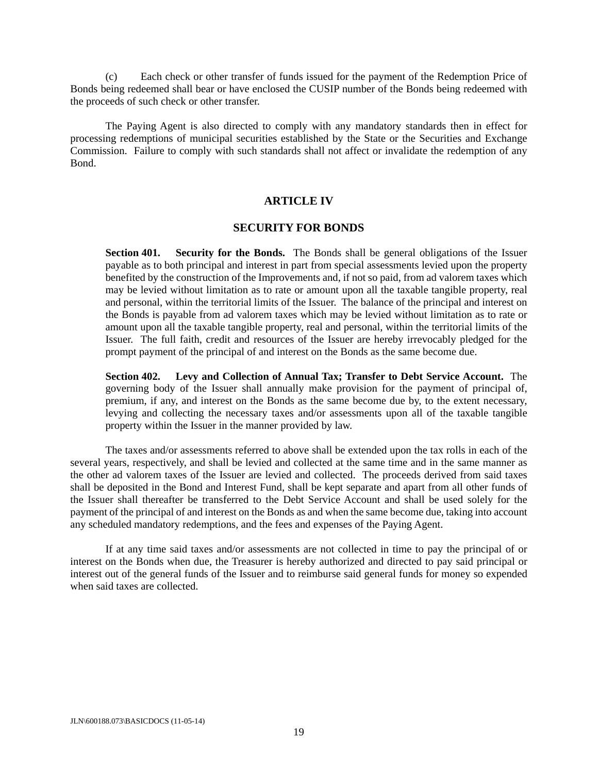(c) Each check or other transfer of funds issued for the payment of the Redemption Price of Bonds being redeemed shall bear or have enclosed the CUSIP number of the Bonds being redeemed with the proceeds of such check or other transfer.

 The Paying Agent is also directed to comply with any mandatory standards then in effect for processing redemptions of municipal securities established by the State or the Securities and Exchange Commission. Failure to comply with such standards shall not affect or invalidate the redemption of any Bond.

### **ARTICLE IV**

#### **SECURITY FOR BONDS**

**Section 401. Security for the Bonds.** The Bonds shall be general obligations of the Issuer payable as to both principal and interest in part from special assessments levied upon the property benefited by the construction of the Improvements and, if not so paid, from ad valorem taxes which may be levied without limitation as to rate or amount upon all the taxable tangible property, real and personal, within the territorial limits of the Issuer. The balance of the principal and interest on the Bonds is payable from ad valorem taxes which may be levied without limitation as to rate or amount upon all the taxable tangible property, real and personal, within the territorial limits of the Issuer. The full faith, credit and resources of the Issuer are hereby irrevocably pledged for the prompt payment of the principal of and interest on the Bonds as the same become due.

**Section 402. Levy and Collection of Annual Tax; Transfer to Debt Service Account.** The governing body of the Issuer shall annually make provision for the payment of principal of, premium, if any, and interest on the Bonds as the same become due by, to the extent necessary, levying and collecting the necessary taxes and/or assessments upon all of the taxable tangible property within the Issuer in the manner provided by law.

 The taxes and/or assessments referred to above shall be extended upon the tax rolls in each of the several years, respectively, and shall be levied and collected at the same time and in the same manner as the other ad valorem taxes of the Issuer are levied and collected. The proceeds derived from said taxes shall be deposited in the Bond and Interest Fund, shall be kept separate and apart from all other funds of the Issuer shall thereafter be transferred to the Debt Service Account and shall be used solely for the payment of the principal of and interest on the Bonds as and when the same become due, taking into account any scheduled mandatory redemptions, and the fees and expenses of the Paying Agent.

 If at any time said taxes and/or assessments are not collected in time to pay the principal of or interest on the Bonds when due, the Treasurer is hereby authorized and directed to pay said principal or interest out of the general funds of the Issuer and to reimburse said general funds for money so expended when said taxes are collected.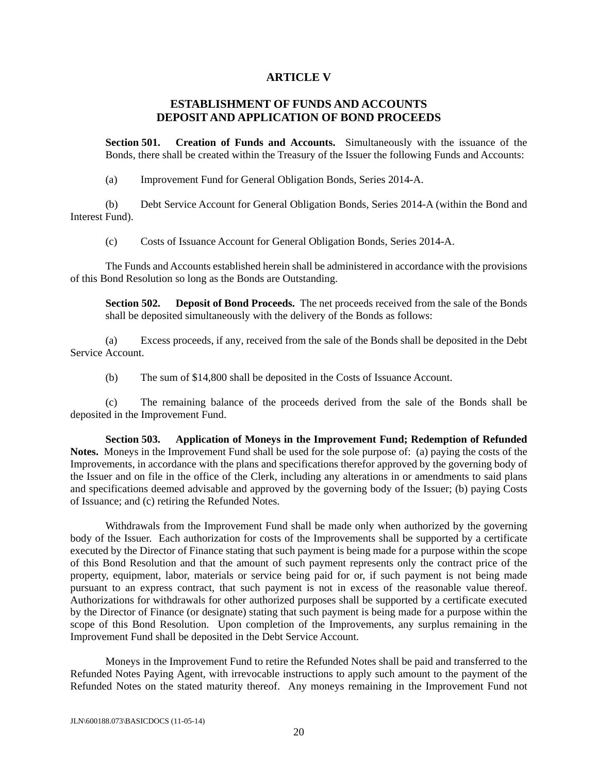# **ARTICLE V**

# **ESTABLISHMENT OF FUNDS AND ACCOUNTS DEPOSIT AND APPLICATION OF BOND PROCEEDS**

**Section 501. Creation of Funds and Accounts.** Simultaneously with the issuance of the Bonds, there shall be created within the Treasury of the Issuer the following Funds and Accounts:

(a) Improvement Fund for General Obligation Bonds, Series 2014-A.

 (b) Debt Service Account for General Obligation Bonds, Series 2014-A (within the Bond and Interest Fund).

(c) Costs of Issuance Account for General Obligation Bonds, Series 2014-A.

 The Funds and Accounts established herein shall be administered in accordance with the provisions of this Bond Resolution so long as the Bonds are Outstanding.

**Section 502. Deposit of Bond Proceeds.** The net proceeds received from the sale of the Bonds shall be deposited simultaneously with the delivery of the Bonds as follows:

 (a) Excess proceeds, if any, received from the sale of the Bonds shall be deposited in the Debt Service Account.

(b) The sum of \$14,800 shall be deposited in the Costs of Issuance Account.

 (c) The remaining balance of the proceeds derived from the sale of the Bonds shall be deposited in the Improvement Fund.

**Section 503. Application of Moneys in the Improvement Fund; Redemption of Refunded Notes.** Moneys in the Improvement Fund shall be used for the sole purpose of: (a) paying the costs of the Improvements, in accordance with the plans and specifications therefor approved by the governing body of the Issuer and on file in the office of the Clerk, including any alterations in or amendments to said plans and specifications deemed advisable and approved by the governing body of the Issuer; (b) paying Costs of Issuance; and (c) retiring the Refunded Notes.

 Withdrawals from the Improvement Fund shall be made only when authorized by the governing body of the Issuer. Each authorization for costs of the Improvements shall be supported by a certificate executed by the Director of Finance stating that such payment is being made for a purpose within the scope of this Bond Resolution and that the amount of such payment represents only the contract price of the property, equipment, labor, materials or service being paid for or, if such payment is not being made pursuant to an express contract, that such payment is not in excess of the reasonable value thereof. Authorizations for withdrawals for other authorized purposes shall be supported by a certificate executed by the Director of Finance (or designate) stating that such payment is being made for a purpose within the scope of this Bond Resolution. Upon completion of the Improvements, any surplus remaining in the Improvement Fund shall be deposited in the Debt Service Account.

 Moneys in the Improvement Fund to retire the Refunded Notes shall be paid and transferred to the Refunded Notes Paying Agent, with irrevocable instructions to apply such amount to the payment of the Refunded Notes on the stated maturity thereof. Any moneys remaining in the Improvement Fund not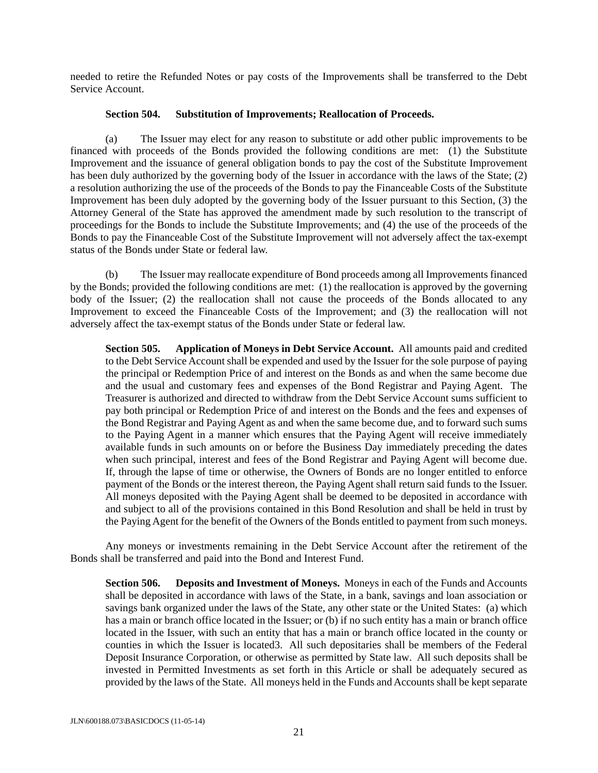needed to retire the Refunded Notes or pay costs of the Improvements shall be transferred to the Debt Service Account.

#### **Section 504. Substitution of Improvements; Reallocation of Proceeds.**

 (a) The Issuer may elect for any reason to substitute or add other public improvements to be financed with proceeds of the Bonds provided the following conditions are met:  $(1)$  the Substitute Improvement and the issuance of general obligation bonds to pay the cost of the Substitute Improvement has been duly authorized by the governing body of the Issuer in accordance with the laws of the State; (2) a resolution authorizing the use of the proceeds of the Bonds to pay the Financeable Costs of the Substitute Improvement has been duly adopted by the governing body of the Issuer pursuant to this Section, (3) the Attorney General of the State has approved the amendment made by such resolution to the transcript of proceedings for the Bonds to include the Substitute Improvements; and (4) the use of the proceeds of the Bonds to pay the Financeable Cost of the Substitute Improvement will not adversely affect the tax-exempt status of the Bonds under State or federal law.

 (b) The Issuer may reallocate expenditure of Bond proceeds among all Improvements financed by the Bonds; provided the following conditions are met: (1) the reallocation is approved by the governing body of the Issuer; (2) the reallocation shall not cause the proceeds of the Bonds allocated to any Improvement to exceed the Financeable Costs of the Improvement; and (3) the reallocation will not adversely affect the tax-exempt status of the Bonds under State or federal law.

**Section 505. Application of Moneys in Debt Service Account.** All amounts paid and credited to the Debt Service Account shall be expended and used by the Issuer for the sole purpose of paying the principal or Redemption Price of and interest on the Bonds as and when the same become due and the usual and customary fees and expenses of the Bond Registrar and Paying Agent. The Treasurer is authorized and directed to withdraw from the Debt Service Account sums sufficient to pay both principal or Redemption Price of and interest on the Bonds and the fees and expenses of the Bond Registrar and Paying Agent as and when the same become due, and to forward such sums to the Paying Agent in a manner which ensures that the Paying Agent will receive immediately available funds in such amounts on or before the Business Day immediately preceding the dates when such principal, interest and fees of the Bond Registrar and Paying Agent will become due. If, through the lapse of time or otherwise, the Owners of Bonds are no longer entitled to enforce payment of the Bonds or the interest thereon, the Paying Agent shall return said funds to the Issuer. All moneys deposited with the Paying Agent shall be deemed to be deposited in accordance with and subject to all of the provisions contained in this Bond Resolution and shall be held in trust by the Paying Agent for the benefit of the Owners of the Bonds entitled to payment from such moneys.

 Any moneys or investments remaining in the Debt Service Account after the retirement of the Bonds shall be transferred and paid into the Bond and Interest Fund.

**Section 506. Deposits and Investment of Moneys.** Moneys in each of the Funds and Accounts shall be deposited in accordance with laws of the State, in a bank, savings and loan association or savings bank organized under the laws of the State, any other state or the United States: (a) which has a main or branch office located in the Issuer; or (b) if no such entity has a main or branch office located in the Issuer, with such an entity that has a main or branch office located in the county or counties in which the Issuer is located3. All such depositaries shall be members of the Federal Deposit Insurance Corporation, or otherwise as permitted by State law. All such deposits shall be invested in Permitted Investments as set forth in this Article or shall be adequately secured as provided by the laws of the State. All moneys held in the Funds and Accounts shall be kept separate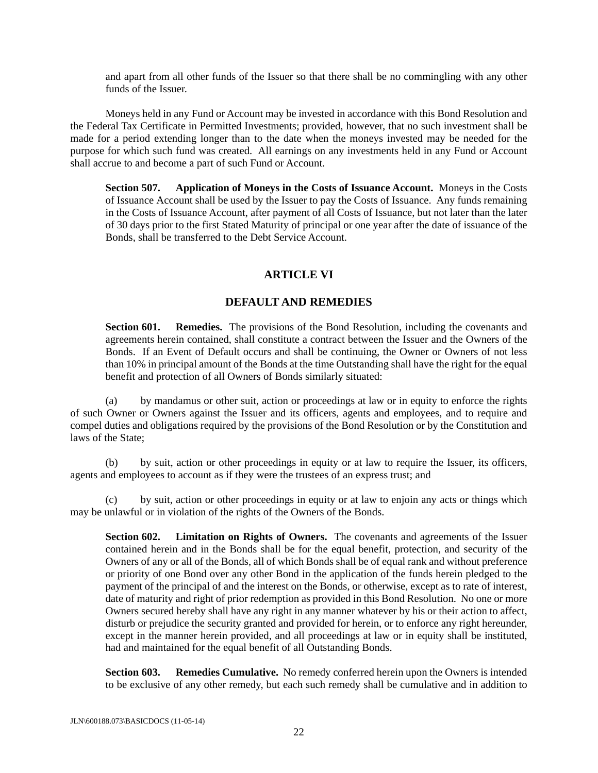and apart from all other funds of the Issuer so that there shall be no commingling with any other funds of the Issuer.

 Moneys held in any Fund or Account may be invested in accordance with this Bond Resolution and the Federal Tax Certificate in Permitted Investments; provided, however, that no such investment shall be made for a period extending longer than to the date when the moneys invested may be needed for the purpose for which such fund was created. All earnings on any investments held in any Fund or Account shall accrue to and become a part of such Fund or Account.

**Section 507. Application of Moneys in the Costs of Issuance Account.** Moneys in the Costs of Issuance Account shall be used by the Issuer to pay the Costs of Issuance. Any funds remaining in the Costs of Issuance Account, after payment of all Costs of Issuance, but not later than the later of 30 days prior to the first Stated Maturity of principal or one year after the date of issuance of the Bonds, shall be transferred to the Debt Service Account.

# **ARTICLE VI**

# **DEFAULT AND REMEDIES**

**Section 601. Remedies.** The provisions of the Bond Resolution, including the covenants and agreements herein contained, shall constitute a contract between the Issuer and the Owners of the Bonds. If an Event of Default occurs and shall be continuing, the Owner or Owners of not less than 10% in principal amount of the Bonds at the time Outstanding shall have the right for the equal benefit and protection of all Owners of Bonds similarly situated:

 (a) by mandamus or other suit, action or proceedings at law or in equity to enforce the rights of such Owner or Owners against the Issuer and its officers, agents and employees, and to require and compel duties and obligations required by the provisions of the Bond Resolution or by the Constitution and laws of the State;

 (b) by suit, action or other proceedings in equity or at law to require the Issuer, its officers, agents and employees to account as if they were the trustees of an express trust; and

 (c) by suit, action or other proceedings in equity or at law to enjoin any acts or things which may be unlawful or in violation of the rights of the Owners of the Bonds.

**Section 602. Limitation on Rights of Owners.** The covenants and agreements of the Issuer contained herein and in the Bonds shall be for the equal benefit, protection, and security of the Owners of any or all of the Bonds, all of which Bonds shall be of equal rank and without preference or priority of one Bond over any other Bond in the application of the funds herein pledged to the payment of the principal of and the interest on the Bonds, or otherwise, except as to rate of interest, date of maturity and right of prior redemption as provided in this Bond Resolution. No one or more Owners secured hereby shall have any right in any manner whatever by his or their action to affect, disturb or prejudice the security granted and provided for herein, or to enforce any right hereunder, except in the manner herein provided, and all proceedings at law or in equity shall be instituted, had and maintained for the equal benefit of all Outstanding Bonds.

**Section 603. Remedies Cumulative.** No remedy conferred herein upon the Owners is intended to be exclusive of any other remedy, but each such remedy shall be cumulative and in addition to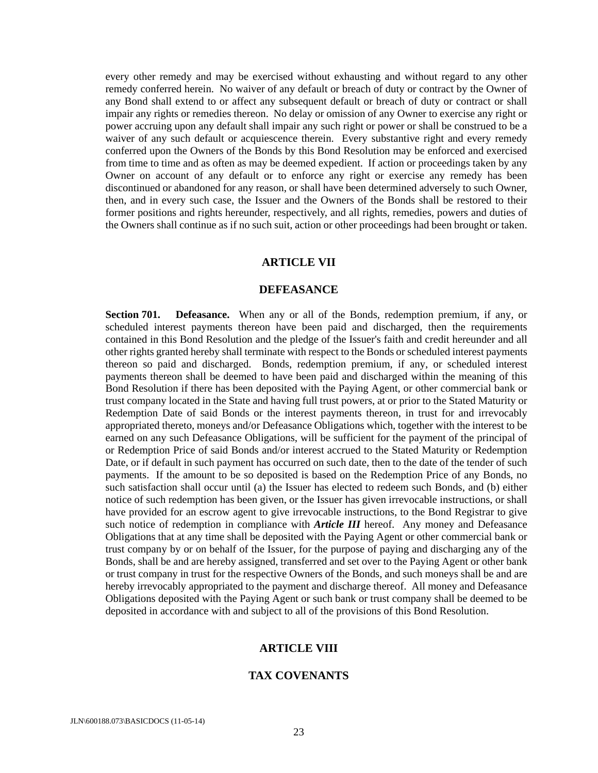every other remedy and may be exercised without exhausting and without regard to any other remedy conferred herein. No waiver of any default or breach of duty or contract by the Owner of any Bond shall extend to or affect any subsequent default or breach of duty or contract or shall impair any rights or remedies thereon. No delay or omission of any Owner to exercise any right or power accruing upon any default shall impair any such right or power or shall be construed to be a waiver of any such default or acquiescence therein. Every substantive right and every remedy conferred upon the Owners of the Bonds by this Bond Resolution may be enforced and exercised from time to time and as often as may be deemed expedient. If action or proceedings taken by any Owner on account of any default or to enforce any right or exercise any remedy has been discontinued or abandoned for any reason, or shall have been determined adversely to such Owner, then, and in every such case, the Issuer and the Owners of the Bonds shall be restored to their former positions and rights hereunder, respectively, and all rights, remedies, powers and duties of the Owners shall continue as if no such suit, action or other proceedings had been brought or taken.

### **ARTICLE VII**

#### **DEFEASANCE**

**Section 701. Defeasance.** When any or all of the Bonds, redemption premium, if any, or scheduled interest payments thereon have been paid and discharged, then the requirements contained in this Bond Resolution and the pledge of the Issuer's faith and credit hereunder and all other rights granted hereby shall terminate with respect to the Bonds or scheduled interest payments thereon so paid and discharged. Bonds, redemption premium, if any, or scheduled interest payments thereon shall be deemed to have been paid and discharged within the meaning of this Bond Resolution if there has been deposited with the Paying Agent, or other commercial bank or trust company located in the State and having full trust powers, at or prior to the Stated Maturity or Redemption Date of said Bonds or the interest payments thereon, in trust for and irrevocably appropriated thereto, moneys and/or Defeasance Obligations which, together with the interest to be earned on any such Defeasance Obligations, will be sufficient for the payment of the principal of or Redemption Price of said Bonds and/or interest accrued to the Stated Maturity or Redemption Date, or if default in such payment has occurred on such date, then to the date of the tender of such payments. If the amount to be so deposited is based on the Redemption Price of any Bonds, no such satisfaction shall occur until (a) the Issuer has elected to redeem such Bonds, and (b) either notice of such redemption has been given, or the Issuer has given irrevocable instructions, or shall have provided for an escrow agent to give irrevocable instructions, to the Bond Registrar to give such notice of redemption in compliance with *Article III* hereof. Any money and Defeasance Obligations that at any time shall be deposited with the Paying Agent or other commercial bank or trust company by or on behalf of the Issuer, for the purpose of paying and discharging any of the Bonds, shall be and are hereby assigned, transferred and set over to the Paying Agent or other bank or trust company in trust for the respective Owners of the Bonds, and such moneys shall be and are hereby irrevocably appropriated to the payment and discharge thereof. All money and Defeasance Obligations deposited with the Paying Agent or such bank or trust company shall be deemed to be deposited in accordance with and subject to all of the provisions of this Bond Resolution.

#### **ARTICLE VIII**

#### **TAX COVENANTS**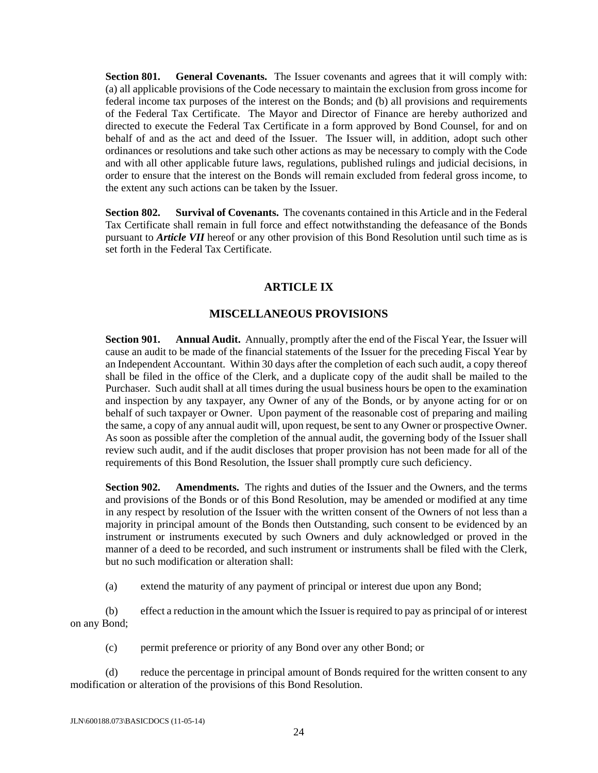**Section 801. General Covenants.** The Issuer covenants and agrees that it will comply with: (a) all applicable provisions of the Code necessary to maintain the exclusion from gross income for federal income tax purposes of the interest on the Bonds; and (b) all provisions and requirements of the Federal Tax Certificate. The Mayor and Director of Finance are hereby authorized and directed to execute the Federal Tax Certificate in a form approved by Bond Counsel, for and on behalf of and as the act and deed of the Issuer. The Issuer will, in addition, adopt such other ordinances or resolutions and take such other actions as may be necessary to comply with the Code and with all other applicable future laws, regulations, published rulings and judicial decisions, in order to ensure that the interest on the Bonds will remain excluded from federal gross income, to the extent any such actions can be taken by the Issuer.

**Section 802. Survival of Covenants.** The covenants contained in this Article and in the Federal Tax Certificate shall remain in full force and effect notwithstanding the defeasance of the Bonds pursuant to *Article VII* hereof or any other provision of this Bond Resolution until such time as is set forth in the Federal Tax Certificate.

# **ARTICLE IX**

# **MISCELLANEOUS PROVISIONS**

**Section 901.** Annual Audit. Annually, promptly after the end of the Fiscal Year, the Issuer will cause an audit to be made of the financial statements of the Issuer for the preceding Fiscal Year by an Independent Accountant. Within 30 days after the completion of each such audit, a copy thereof shall be filed in the office of the Clerk, and a duplicate copy of the audit shall be mailed to the Purchaser. Such audit shall at all times during the usual business hours be open to the examination and inspection by any taxpayer, any Owner of any of the Bonds, or by anyone acting for or on behalf of such taxpayer or Owner. Upon payment of the reasonable cost of preparing and mailing the same, a copy of any annual audit will, upon request, be sent to any Owner or prospective Owner. As soon as possible after the completion of the annual audit, the governing body of the Issuer shall review such audit, and if the audit discloses that proper provision has not been made for all of the requirements of this Bond Resolution, the Issuer shall promptly cure such deficiency.

**Section 902. Amendments.** The rights and duties of the Issuer and the Owners, and the terms and provisions of the Bonds or of this Bond Resolution, may be amended or modified at any time in any respect by resolution of the Issuer with the written consent of the Owners of not less than a majority in principal amount of the Bonds then Outstanding, such consent to be evidenced by an instrument or instruments executed by such Owners and duly acknowledged or proved in the manner of a deed to be recorded, and such instrument or instruments shall be filed with the Clerk, but no such modification or alteration shall:

(a) extend the maturity of any payment of principal or interest due upon any Bond;

 (b) effect a reduction in the amount which the Issuer is required to pay as principal of or interest on any Bond;

(c) permit preference or priority of any Bond over any other Bond; or

 (d) reduce the percentage in principal amount of Bonds required for the written consent to any modification or alteration of the provisions of this Bond Resolution.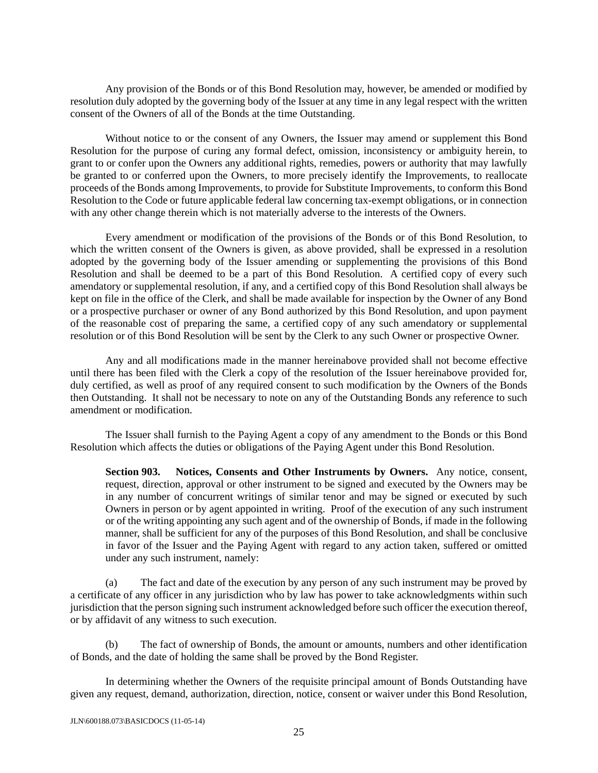Any provision of the Bonds or of this Bond Resolution may, however, be amended or modified by resolution duly adopted by the governing body of the Issuer at any time in any legal respect with the written consent of the Owners of all of the Bonds at the time Outstanding.

 Without notice to or the consent of any Owners, the Issuer may amend or supplement this Bond Resolution for the purpose of curing any formal defect, omission, inconsistency or ambiguity herein, to grant to or confer upon the Owners any additional rights, remedies, powers or authority that may lawfully be granted to or conferred upon the Owners, to more precisely identify the Improvements, to reallocate proceeds of the Bonds among Improvements, to provide for Substitute Improvements, to conform this Bond Resolution to the Code or future applicable federal law concerning tax-exempt obligations, or in connection with any other change therein which is not materially adverse to the interests of the Owners.

 Every amendment or modification of the provisions of the Bonds or of this Bond Resolution, to which the written consent of the Owners is given, as above provided, shall be expressed in a resolution adopted by the governing body of the Issuer amending or supplementing the provisions of this Bond Resolution and shall be deemed to be a part of this Bond Resolution. A certified copy of every such amendatory or supplemental resolution, if any, and a certified copy of this Bond Resolution shall always be kept on file in the office of the Clerk, and shall be made available for inspection by the Owner of any Bond or a prospective purchaser or owner of any Bond authorized by this Bond Resolution, and upon payment of the reasonable cost of preparing the same, a certified copy of any such amendatory or supplemental resolution or of this Bond Resolution will be sent by the Clerk to any such Owner or prospective Owner.

 Any and all modifications made in the manner hereinabove provided shall not become effective until there has been filed with the Clerk a copy of the resolution of the Issuer hereinabove provided for, duly certified, as well as proof of any required consent to such modification by the Owners of the Bonds then Outstanding. It shall not be necessary to note on any of the Outstanding Bonds any reference to such amendment or modification.

 The Issuer shall furnish to the Paying Agent a copy of any amendment to the Bonds or this Bond Resolution which affects the duties or obligations of the Paying Agent under this Bond Resolution.

**Section 903. Notices, Consents and Other Instruments by Owners.** Any notice, consent, request, direction, approval or other instrument to be signed and executed by the Owners may be in any number of concurrent writings of similar tenor and may be signed or executed by such Owners in person or by agent appointed in writing. Proof of the execution of any such instrument or of the writing appointing any such agent and of the ownership of Bonds, if made in the following manner, shall be sufficient for any of the purposes of this Bond Resolution, and shall be conclusive in favor of the Issuer and the Paying Agent with regard to any action taken, suffered or omitted under any such instrument, namely:

 (a) The fact and date of the execution by any person of any such instrument may be proved by a certificate of any officer in any jurisdiction who by law has power to take acknowledgments within such jurisdiction that the person signing such instrument acknowledged before such officer the execution thereof, or by affidavit of any witness to such execution.

 (b) The fact of ownership of Bonds, the amount or amounts, numbers and other identification of Bonds, and the date of holding the same shall be proved by the Bond Register.

 In determining whether the Owners of the requisite principal amount of Bonds Outstanding have given any request, demand, authorization, direction, notice, consent or waiver under this Bond Resolution,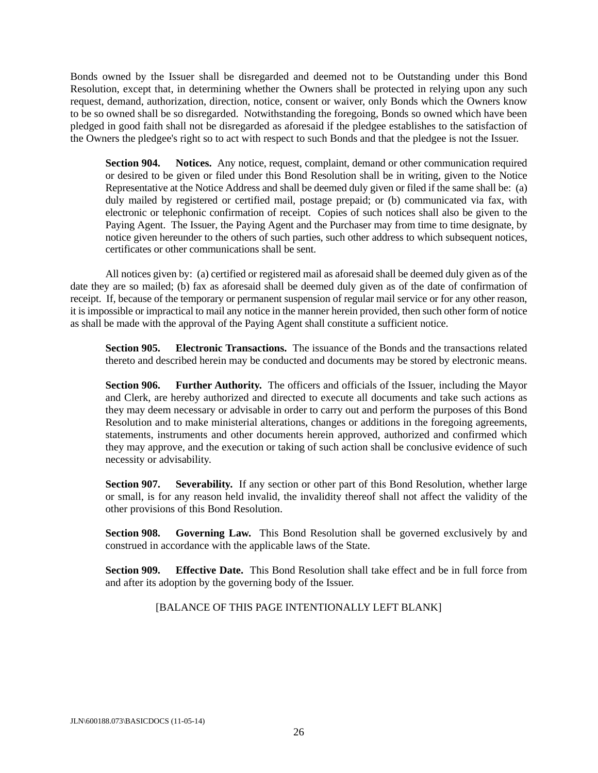Bonds owned by the Issuer shall be disregarded and deemed not to be Outstanding under this Bond Resolution, except that, in determining whether the Owners shall be protected in relying upon any such request, demand, authorization, direction, notice, consent or waiver, only Bonds which the Owners know to be so owned shall be so disregarded. Notwithstanding the foregoing, Bonds so owned which have been pledged in good faith shall not be disregarded as aforesaid if the pledgee establishes to the satisfaction of the Owners the pledgee's right so to act with respect to such Bonds and that the pledgee is not the Issuer.

**Section 904. Notices.** Any notice, request, complaint, demand or other communication required or desired to be given or filed under this Bond Resolution shall be in writing, given to the Notice Representative at the Notice Address and shall be deemed duly given or filed if the same shall be: (a) duly mailed by registered or certified mail, postage prepaid; or (b) communicated via fax, with electronic or telephonic confirmation of receipt. Copies of such notices shall also be given to the Paying Agent. The Issuer, the Paying Agent and the Purchaser may from time to time designate, by notice given hereunder to the others of such parties, such other address to which subsequent notices, certificates or other communications shall be sent.

 All notices given by: (a) certified or registered mail as aforesaid shall be deemed duly given as of the date they are so mailed; (b) fax as aforesaid shall be deemed duly given as of the date of confirmation of receipt. If, because of the temporary or permanent suspension of regular mail service or for any other reason, it is impossible or impractical to mail any notice in the manner herein provided, then such other form of notice as shall be made with the approval of the Paying Agent shall constitute a sufficient notice.

**Section 905. Electronic Transactions.** The issuance of the Bonds and the transactions related thereto and described herein may be conducted and documents may be stored by electronic means.

**Section 906. Further Authority.** The officers and officials of the Issuer, including the Mayor and Clerk, are hereby authorized and directed to execute all documents and take such actions as they may deem necessary or advisable in order to carry out and perform the purposes of this Bond Resolution and to make ministerial alterations, changes or additions in the foregoing agreements, statements, instruments and other documents herein approved, authorized and confirmed which they may approve, and the execution or taking of such action shall be conclusive evidence of such necessity or advisability.

**Section 907.** Severability. If any section or other part of this Bond Resolution, whether large or small, is for any reason held invalid, the invalidity thereof shall not affect the validity of the other provisions of this Bond Resolution.

**Section 908. Governing Law.** This Bond Resolution shall be governed exclusively by and construed in accordance with the applicable laws of the State.

**Section 909. Effective Date.** This Bond Resolution shall take effect and be in full force from and after its adoption by the governing body of the Issuer.

[BALANCE OF THIS PAGE INTENTIONALLY LEFT BLANK]